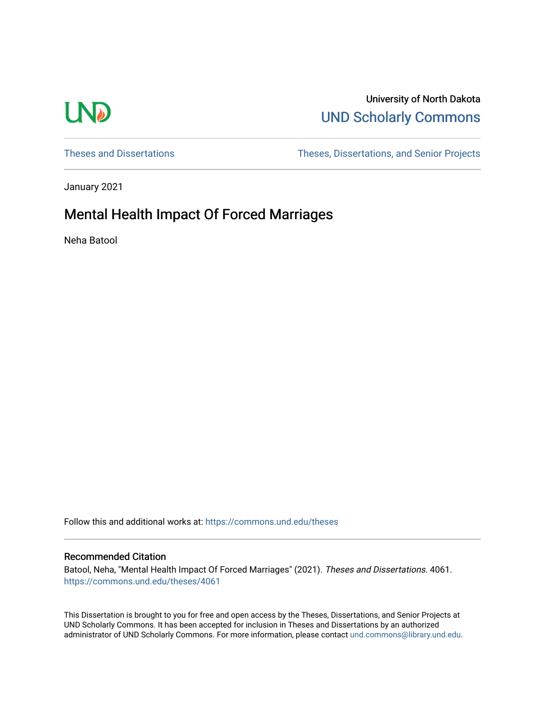# **LND**

# University of North Dakota [UND Scholarly Commons](https://commons.und.edu/)

[Theses and Dissertations](https://commons.und.edu/theses) [Theses, Dissertations, and Senior Projects](https://commons.und.edu/etds) 

January 2021

# Mental Health Impact Of Forced Marriages

Neha Batool

Follow this and additional works at: [https://commons.und.edu/theses](https://commons.und.edu/theses?utm_source=commons.und.edu%2Ftheses%2F4061&utm_medium=PDF&utm_campaign=PDFCoverPages)

#### Recommended Citation

Batool, Neha, "Mental Health Impact Of Forced Marriages" (2021). Theses and Dissertations. 4061. [https://commons.und.edu/theses/4061](https://commons.und.edu/theses/4061?utm_source=commons.und.edu%2Ftheses%2F4061&utm_medium=PDF&utm_campaign=PDFCoverPages) 

This Dissertation is brought to you for free and open access by the Theses, Dissertations, and Senior Projects at UND Scholarly Commons. It has been accepted for inclusion in Theses and Dissertations by an authorized administrator of UND Scholarly Commons. For more information, please contact [und.commons@library.und.edu.](mailto:und.commons@library.und.edu)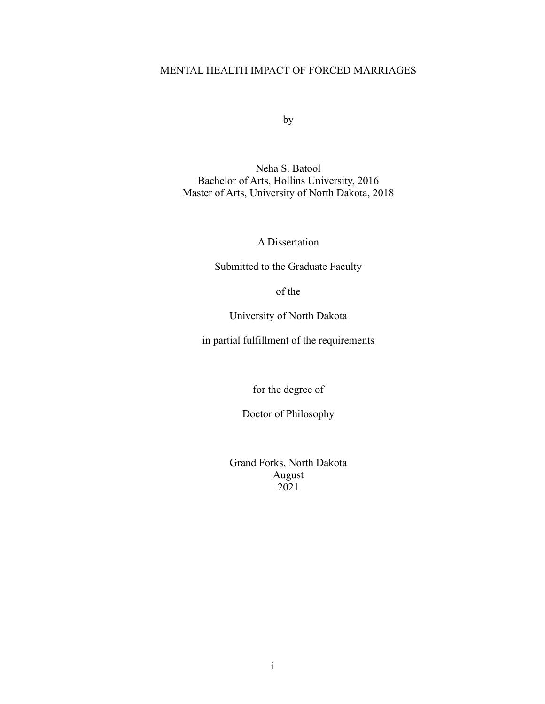### MENTAL HEALTH IMPACT OF FORCED MARRIAGES

by

Neha S. Batool Bachelor of Arts, Hollins University, 2016 Master of Arts, University of North Dakota, 2018

A Dissertation

Submitted to the Graduate Faculty

of the

University of North Dakota

in partial fulfillment of the requirements

for the degree of

Doctor of Philosophy

Grand Forks, North Dakota August 2021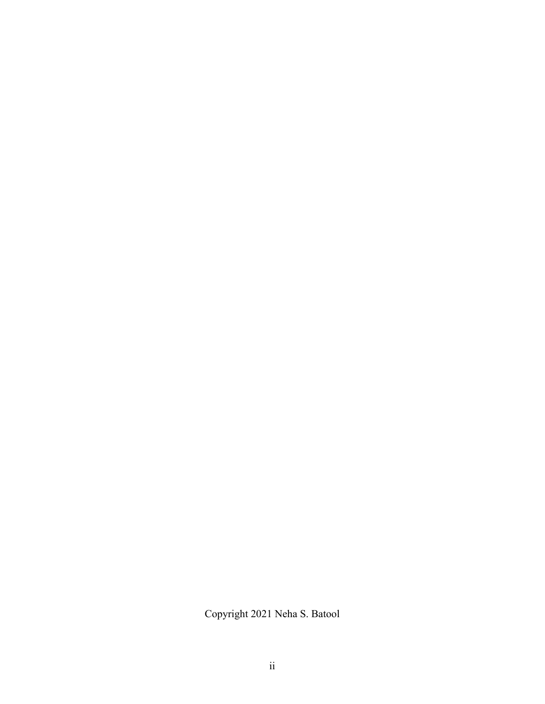Copyright 2021 Neha S. Batool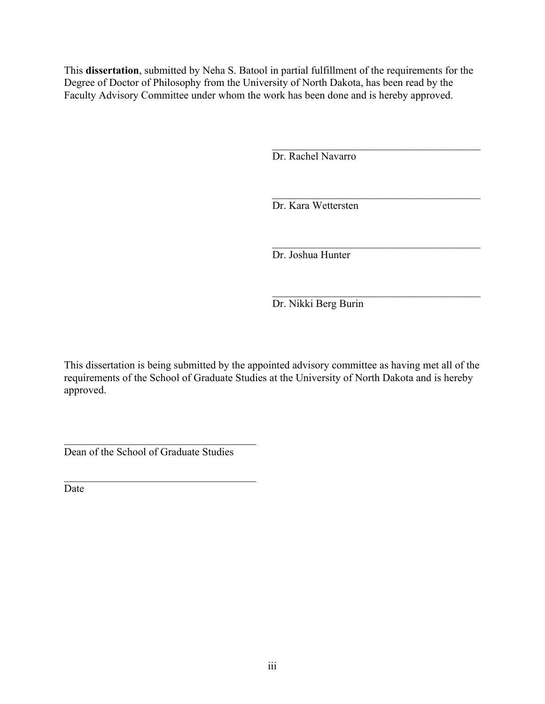This **dissertation**, submitted by Neha S. Batool in partial fulfillment of the requirements for the Degree of Doctor of Philosophy from the University of North Dakota, has been read by the Faculty Advisory Committee under whom the work has been done and is hereby approved.

Dr. Rachel Navarro

Dr. Kara Wettersten

Dr. Joshua Hunter

Dr. Nikki Berg Burin

This dissertation is being submitted by the appointed advisory committee as having met all of the requirements of the School of Graduate Studies at the University of North Dakota and is hereby approved.

Dean of the School of Graduate Studies

Date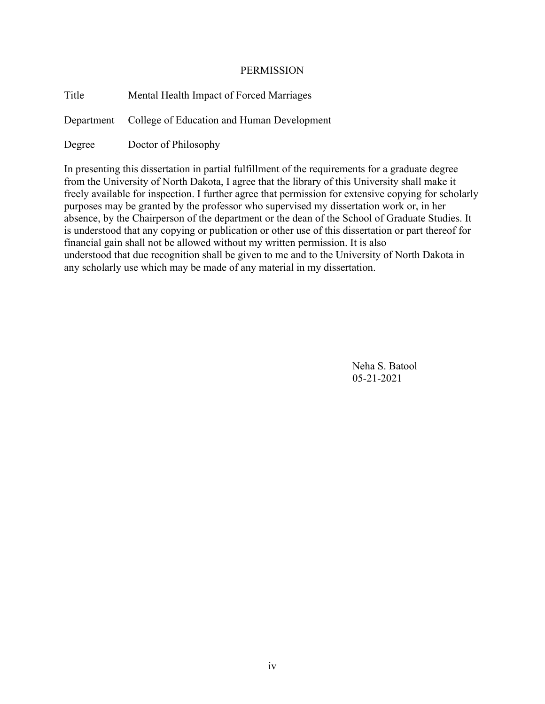#### PERMISSION

| Title  | Mental Health Impact of Forced Marriages              |
|--------|-------------------------------------------------------|
|        | Department College of Education and Human Development |
| Degree | Doctor of Philosophy                                  |

In presenting this dissertation in partial fulfillment of the requirements for a graduate degree from the University of North Dakota, I agree that the library of this University shall make it freely available for inspection. I further agree that permission for extensive copying for scholarly purposes may be granted by the professor who supervised my dissertation work or, in her absence, by the Chairperson of the department or the dean of the School of Graduate Studies. It is understood that any copying or publication or other use of this dissertation or part thereof for financial gain shall not be allowed without my written permission. It is also understood that due recognition shall be given to me and to the University of North Dakota in any scholarly use which may be made of any material in my dissertation.

> Neha S. Batool 05-21-2021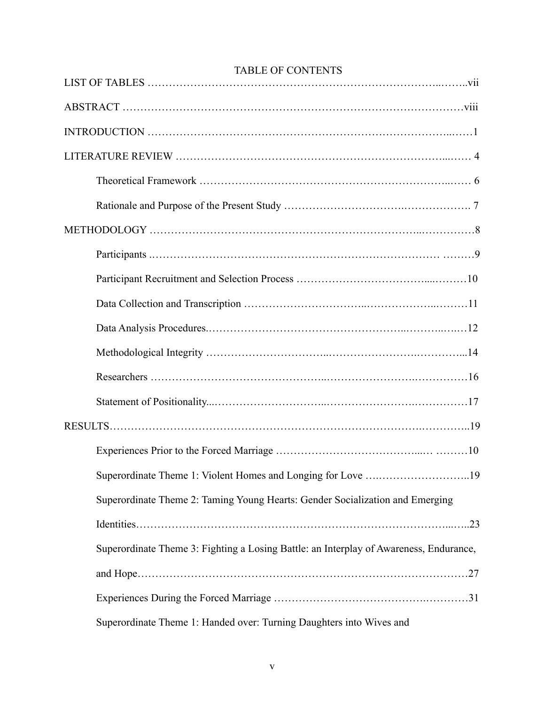| <b>IADLE UP CUNTENTS</b>                                                               |
|----------------------------------------------------------------------------------------|
|                                                                                        |
|                                                                                        |
|                                                                                        |
|                                                                                        |
|                                                                                        |
|                                                                                        |
|                                                                                        |
|                                                                                        |
|                                                                                        |
|                                                                                        |
|                                                                                        |
|                                                                                        |
|                                                                                        |
|                                                                                        |
|                                                                                        |
| Superordinate Theme 1: Violent Homes and Longing for Love 19                           |
| Superordinate Theme 2: Taming Young Hearts: Gender Socialization and Emerging          |
|                                                                                        |
| Superordinate Theme 3: Fighting a Losing Battle: an Interplay of Awareness, Endurance, |
|                                                                                        |
|                                                                                        |
| Superordinate Theme 1: Handed over: Turning Daughters into Wives and                   |

## TABLE OF CONTENTS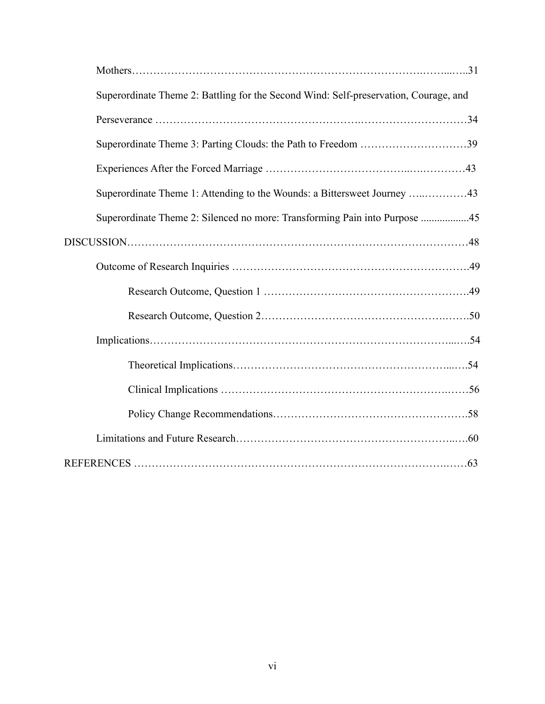| Superordinate Theme 2: Battling for the Second Wind: Self-preservation, Courage, and |
|--------------------------------------------------------------------------------------|
|                                                                                      |
| Superordinate Theme 3: Parting Clouds: the Path to Freedom 39                        |
|                                                                                      |
| Superordinate Theme 1: Attending to the Wounds: a Bittersweet Journey 43             |
| Superordinate Theme 2: Silenced no more: Transforming Pain into Purpose 45           |
|                                                                                      |
|                                                                                      |
|                                                                                      |
|                                                                                      |
|                                                                                      |
|                                                                                      |
|                                                                                      |
|                                                                                      |
|                                                                                      |
|                                                                                      |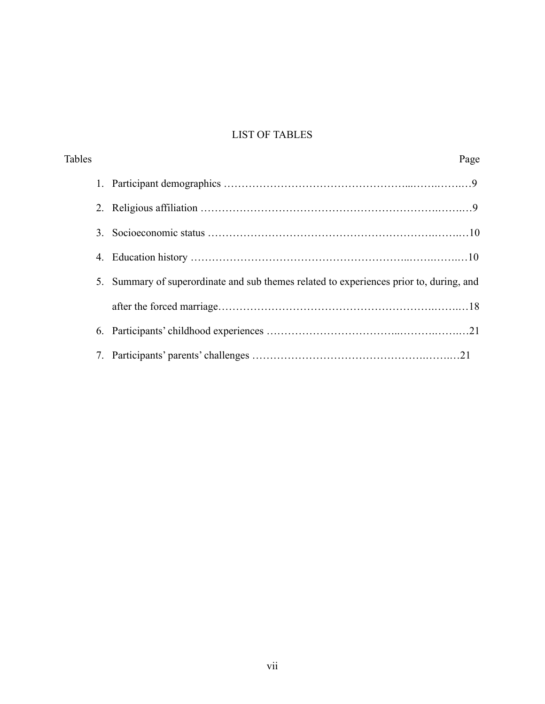# LIST OF TABLES

| <b>Tables</b>                                                                              | Page |
|--------------------------------------------------------------------------------------------|------|
|                                                                                            |      |
|                                                                                            |      |
| 3.                                                                                         |      |
| 4.                                                                                         |      |
| Summary of superordinate and sub themes related to experiences prior to, during, and<br>5. |      |
|                                                                                            |      |
|                                                                                            |      |
| 7.                                                                                         |      |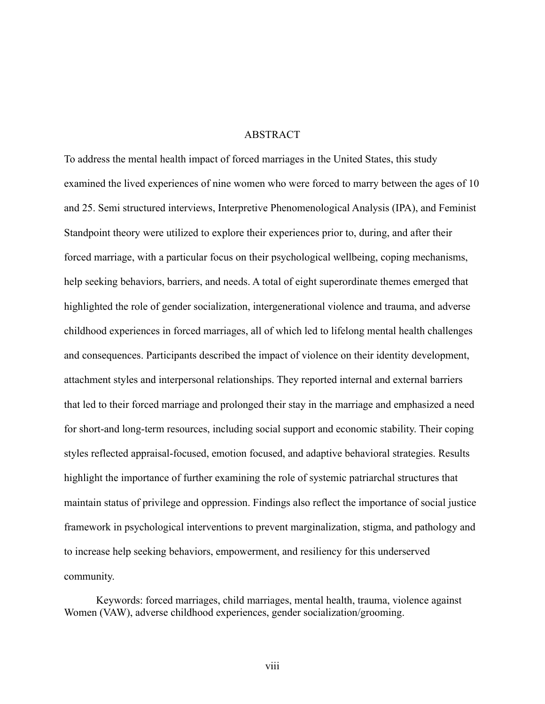#### ABSTRACT

To address the mental health impact of forced marriages in the United States, this study examined the lived experiences of nine women who were forced to marry between the ages of 10 and 25. Semi structured interviews, Interpretive Phenomenological Analysis (IPA), and Feminist Standpoint theory were utilized to explore their experiences prior to, during, and after their forced marriage, with a particular focus on their psychological wellbeing, coping mechanisms, help seeking behaviors, barriers, and needs. A total of eight superordinate themes emerged that highlighted the role of gender socialization, intergenerational violence and trauma, and adverse childhood experiences in forced marriages, all of which led to lifelong mental health challenges and consequences. Participants described the impact of violence on their identity development, attachment styles and interpersonal relationships. They reported internal and external barriers that led to their forced marriage and prolonged their stay in the marriage and emphasized a need for short-and long-term resources, including social support and economic stability. Their coping styles reflected appraisal-focused, emotion focused, and adaptive behavioral strategies. Results highlight the importance of further examining the role of systemic patriarchal structures that maintain status of privilege and oppression. Findings also reflect the importance of social justice framework in psychological interventions to prevent marginalization, stigma, and pathology and to increase help seeking behaviors, empowerment, and resiliency for this underserved community.

Keywords: forced marriages, child marriages, mental health, trauma, violence against Women (VAW), adverse childhood experiences, gender socialization/grooming.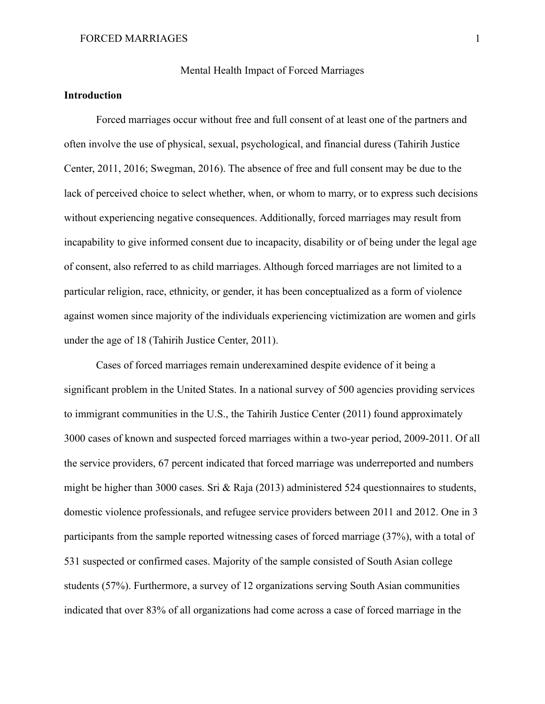#### Mental Health Impact of Forced Marriages

#### **Introduction**

Forced marriages occur without free and full consent of at least one of the partners and often involve the use of physical, sexual, psychological, and financial duress (Tahirih Justice Center, 2011, 2016; Swegman, 2016). The absence of free and full consent may be due to the lack of perceived choice to select whether, when, or whom to marry, or to express such decisions without experiencing negative consequences. Additionally, forced marriages may result from incapability to give informed consent due to incapacity, disability or of being under the legal age of consent, also referred to as child marriages. Although forced marriages are not limited to a particular religion, race, ethnicity, or gender, it has been conceptualized as a form of violence against women since majority of the individuals experiencing victimization are women and girls under the age of 18 (Tahirih Justice Center, 2011).

Cases of forced marriages remain underexamined despite evidence of it being a significant problem in the United States. In a national survey of 500 agencies providing services to immigrant communities in the U.S., the Tahirih Justice Center (2011) found approximately 3000 cases of known and suspected forced marriages within a two-year period, 2009-2011. Of all the service providers, 67 percent indicated that forced marriage was underreported and numbers might be higher than 3000 cases. Sri & Raja (2013) administered 524 questionnaires to students, domestic violence professionals, and refugee service providers between 2011 and 2012. One in 3 participants from the sample reported witnessing cases of forced marriage (37%), with a total of 531 suspected or confirmed cases. Majority of the sample consisted of South Asian college students (57%). Furthermore, a survey of 12 organizations serving South Asian communities indicated that over 83% of all organizations had come across a case of forced marriage in the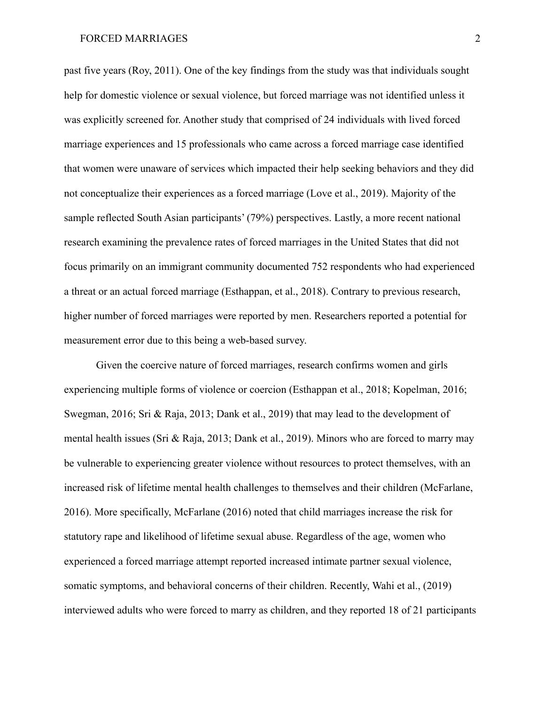past five years (Roy, 2011). One of the key findings from the study was that individuals sought help for domestic violence or sexual violence, but forced marriage was not identified unless it was explicitly screened for. Another study that comprised of 24 individuals with lived forced marriage experiences and 15 professionals who came across a forced marriage case identified that women were unaware of services which impacted their help seeking behaviors and they did not conceptualize their experiences as a forced marriage (Love et al., 2019). Majority of the sample reflected South Asian participants' (79%) perspectives. Lastly, a more recent national research examining the prevalence rates of forced marriages in the United States that did not focus primarily on an immigrant community documented 752 respondents who had experienced a threat or an actual forced marriage (Esthappan, et al., 2018). Contrary to previous research, higher number of forced marriages were reported by men. Researchers reported a potential for measurement error due to this being a web-based survey.

Given the coercive nature of forced marriages, research confirms women and girls experiencing multiple forms of violence or coercion (Esthappan et al., 2018; Kopelman, 2016; Swegman, 2016; Sri & Raja, 2013; Dank et al., 2019) that may lead to the development of mental health issues (Sri & Raja, 2013; Dank et al., 2019). Minors who are forced to marry may be vulnerable to experiencing greater violence without resources to protect themselves, with an increased risk of lifetime mental health challenges to themselves and their children (McFarlane, 2016). More specifically, McFarlane (2016) noted that child marriages increase the risk for statutory rape and likelihood of lifetime sexual abuse. Regardless of the age, women who experienced a forced marriage attempt reported increased intimate partner sexual violence, somatic symptoms, and behavioral concerns of their children. Recently, Wahi et al., (2019) interviewed adults who were forced to marry as children, and they reported 18 of 21 participants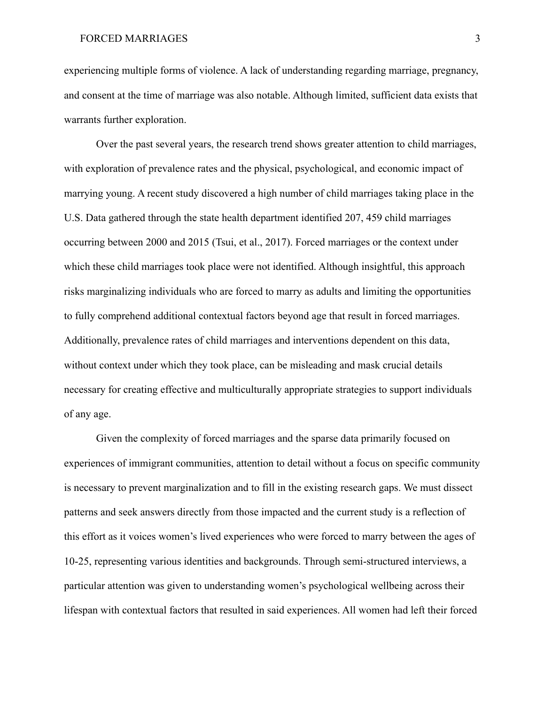experiencing multiple forms of violence. A lack of understanding regarding marriage, pregnancy, and consent at the time of marriage was also notable. Although limited, sufficient data exists that warrants further exploration.

Over the past several years, the research trend shows greater attention to child marriages, with exploration of prevalence rates and the physical, psychological, and economic impact of marrying young. A recent study discovered a high number of child marriages taking place in the U.S. Data gathered through the state health department identified 207, 459 child marriages occurring between 2000 and 2015 (Tsui, et al., 2017). Forced marriages or the context under which these child marriages took place were not identified. Although insightful, this approach risks marginalizing individuals who are forced to marry as adults and limiting the opportunities to fully comprehend additional contextual factors beyond age that result in forced marriages. Additionally, prevalence rates of child marriages and interventions dependent on this data, without context under which they took place, can be misleading and mask crucial details necessary for creating effective and multiculturally appropriate strategies to support individuals of any age.

Given the complexity of forced marriages and the sparse data primarily focused on experiences of immigrant communities, attention to detail without a focus on specific community is necessary to prevent marginalization and to fill in the existing research gaps. We must dissect patterns and seek answers directly from those impacted and the current study is a reflection of this effort as it voices women's lived experiences who were forced to marry between the ages of 10-25, representing various identities and backgrounds. Through semi-structured interviews, a particular attention was given to understanding women's psychological wellbeing across their lifespan with contextual factors that resulted in said experiences. All women had left their forced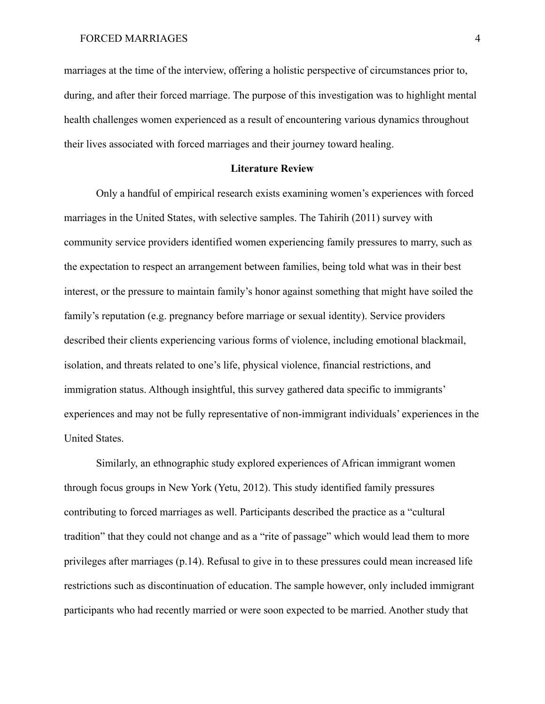marriages at the time of the interview, offering a holistic perspective of circumstances prior to, during, and after their forced marriage. The purpose of this investigation was to highlight mental health challenges women experienced as a result of encountering various dynamics throughout their lives associated with forced marriages and their journey toward healing.

#### **Literature Review**

Only a handful of empirical research exists examining women's experiences with forced marriages in the United States, with selective samples. The Tahirih (2011) survey with community service providers identified women experiencing family pressures to marry, such as the expectation to respect an arrangement between families, being told what was in their best interest, or the pressure to maintain family's honor against something that might have soiled the family's reputation (e.g. pregnancy before marriage or sexual identity). Service providers described their clients experiencing various forms of violence, including emotional blackmail, isolation, and threats related to one's life, physical violence, financial restrictions, and immigration status. Although insightful, this survey gathered data specific to immigrants' experiences and may not be fully representative of non-immigrant individuals' experiences in the United States.

Similarly, an ethnographic study explored experiences of African immigrant women through focus groups in New York (Yetu, 2012). This study identified family pressures contributing to forced marriages as well. Participants described the practice as a "cultural tradition" that they could not change and as a "rite of passage" which would lead them to more privileges after marriages (p.14). Refusal to give in to these pressures could mean increased life restrictions such as discontinuation of education. The sample however, only included immigrant participants who had recently married or were soon expected to be married. Another study that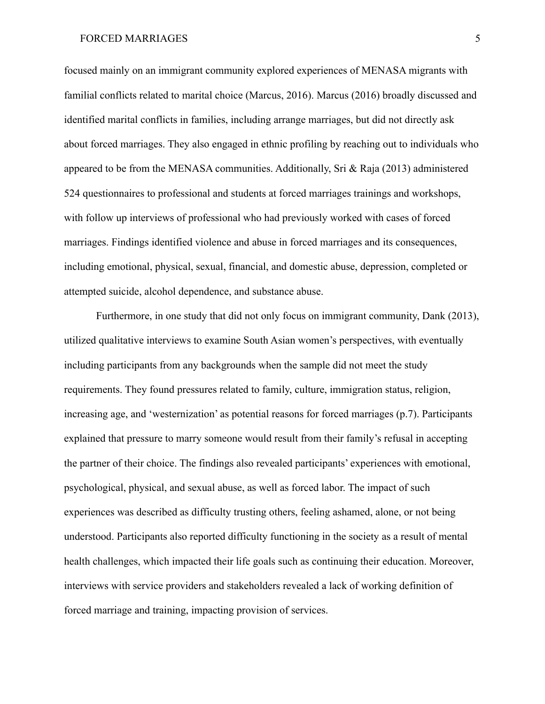focused mainly on an immigrant community explored experiences of MENASA migrants with familial conflicts related to marital choice (Marcus, 2016). Marcus (2016) broadly discussed and identified marital conflicts in families, including arrange marriages, but did not directly ask about forced marriages. They also engaged in ethnic profiling by reaching out to individuals who appeared to be from the MENASA communities. Additionally, Sri & Raja (2013) administered 524 questionnaires to professional and students at forced marriages trainings and workshops, with follow up interviews of professional who had previously worked with cases of forced marriages. Findings identified violence and abuse in forced marriages and its consequences, including emotional, physical, sexual, financial, and domestic abuse, depression, completed or attempted suicide, alcohol dependence, and substance abuse.

Furthermore, in one study that did not only focus on immigrant community, Dank (2013), utilized qualitative interviews to examine South Asian women's perspectives, with eventually including participants from any backgrounds when the sample did not meet the study requirements. They found pressures related to family, culture, immigration status, religion, increasing age, and 'westernization' as potential reasons for forced marriages (p.7). Participants explained that pressure to marry someone would result from their family's refusal in accepting the partner of their choice. The findings also revealed participants' experiences with emotional, psychological, physical, and sexual abuse, as well as forced labor. The impact of such experiences was described as difficulty trusting others, feeling ashamed, alone, or not being understood. Participants also reported difficulty functioning in the society as a result of mental health challenges, which impacted their life goals such as continuing their education. Moreover, interviews with service providers and stakeholders revealed a lack of working definition of forced marriage and training, impacting provision of services.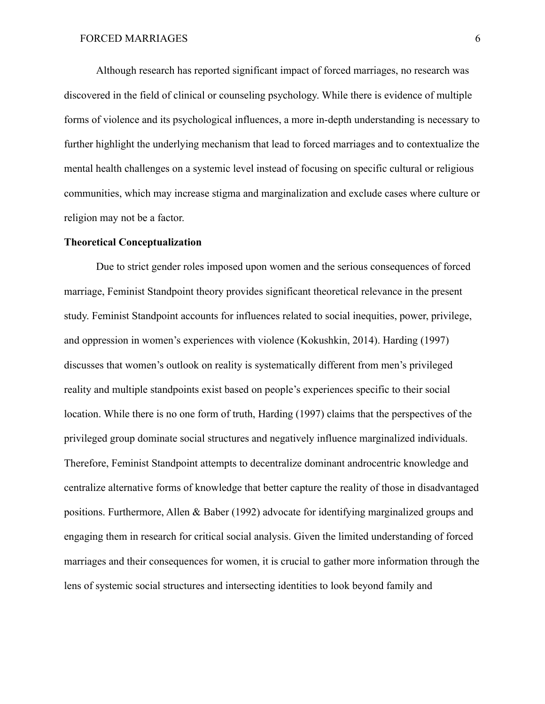Although research has reported significant impact of forced marriages, no research was discovered in the field of clinical or counseling psychology. While there is evidence of multiple forms of violence and its psychological influences, a more in-depth understanding is necessary to further highlight the underlying mechanism that lead to forced marriages and to contextualize the mental health challenges on a systemic level instead of focusing on specific cultural or religious communities, which may increase stigma and marginalization and exclude cases where culture or religion may not be a factor.

#### **Theoretical Conceptualization**

Due to strict gender roles imposed upon women and the serious consequences of forced marriage, Feminist Standpoint theory provides significant theoretical relevance in the present study. Feminist Standpoint accounts for influences related to social inequities, power, privilege, and oppression in women's experiences with violence (Kokushkin, 2014). Harding (1997) discusses that women's outlook on reality is systematically different from men's privileged reality and multiple standpoints exist based on people's experiences specific to their social location. While there is no one form of truth, Harding (1997) claims that the perspectives of the privileged group dominate social structures and negatively influence marginalized individuals. Therefore, Feminist Standpoint attempts to decentralize dominant androcentric knowledge and centralize alternative forms of knowledge that better capture the reality of those in disadvantaged positions. Furthermore, Allen & Baber (1992) advocate for identifying marginalized groups and engaging them in research for critical social analysis. Given the limited understanding of forced marriages and their consequences for women, it is crucial to gather more information through the lens of systemic social structures and intersecting identities to look beyond family and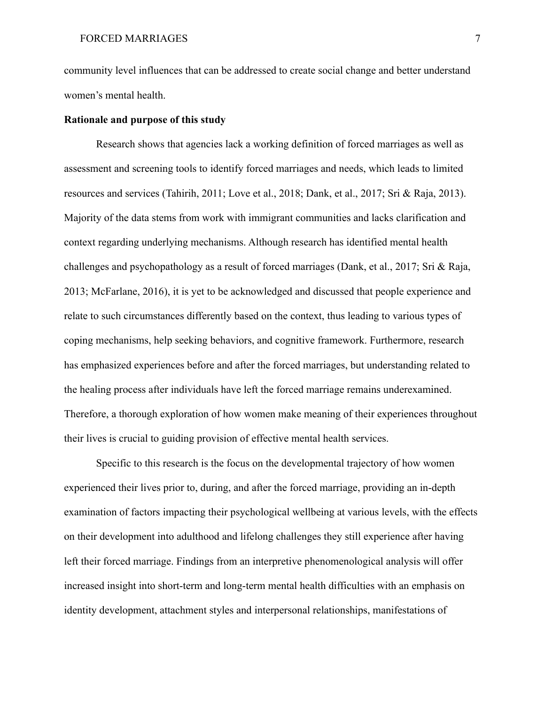community level influences that can be addressed to create social change and better understand women's mental health.

#### **Rationale and purpose of this study**

Research shows that agencies lack a working definition of forced marriages as well as assessment and screening tools to identify forced marriages and needs, which leads to limited resources and services (Tahirih, 2011; Love et al., 2018; Dank, et al., 2017; Sri & Raja, 2013). Majority of the data stems from work with immigrant communities and lacks clarification and context regarding underlying mechanisms. Although research has identified mental health challenges and psychopathology as a result of forced marriages (Dank, et al., 2017; Sri & Raja, 2013; McFarlane, 2016), it is yet to be acknowledged and discussed that people experience and relate to such circumstances differently based on the context, thus leading to various types of coping mechanisms, help seeking behaviors, and cognitive framework. Furthermore, research has emphasized experiences before and after the forced marriages, but understanding related to the healing process after individuals have left the forced marriage remains underexamined. Therefore, a thorough exploration of how women make meaning of their experiences throughout their lives is crucial to guiding provision of effective mental health services.

Specific to this research is the focus on the developmental trajectory of how women experienced their lives prior to, during, and after the forced marriage, providing an in-depth examination of factors impacting their psychological wellbeing at various levels, with the effects on their development into adulthood and lifelong challenges they still experience after having left their forced marriage. Findings from an interpretive phenomenological analysis will offer increased insight into short-term and long-term mental health difficulties with an emphasis on identity development, attachment styles and interpersonal relationships, manifestations of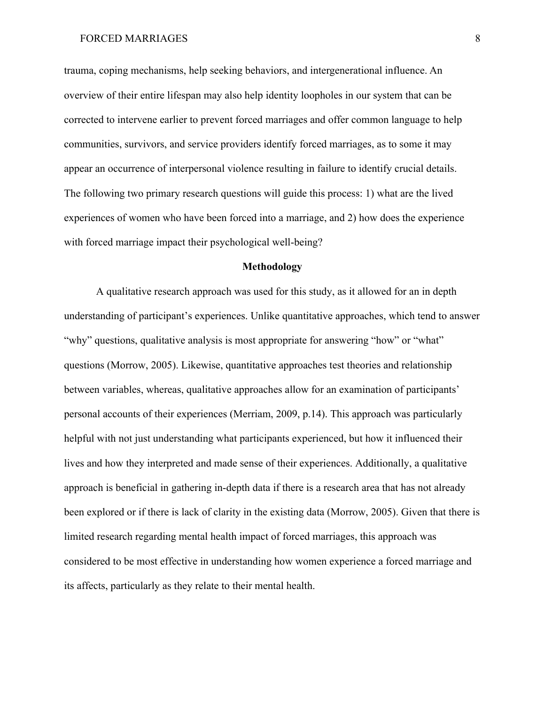trauma, coping mechanisms, help seeking behaviors, and intergenerational influence. An overview of their entire lifespan may also help identity loopholes in our system that can be corrected to intervene earlier to prevent forced marriages and offer common language to help communities, survivors, and service providers identify forced marriages, as to some it may appear an occurrence of interpersonal violence resulting in failure to identify crucial details. The following two primary research questions will guide this process: 1) what are the lived experiences of women who have been forced into a marriage, and 2) how does the experience with forced marriage impact their psychological well-being?

#### **Methodology**

A qualitative research approach was used for this study, as it allowed for an in depth understanding of participant's experiences. Unlike quantitative approaches, which tend to answer "why" questions, qualitative analysis is most appropriate for answering "how" or "what" questions (Morrow, 2005). Likewise, quantitative approaches test theories and relationship between variables, whereas, qualitative approaches allow for an examination of participants' personal accounts of their experiences (Merriam, 2009, p.14). This approach was particularly helpful with not just understanding what participants experienced, but how it influenced their lives and how they interpreted and made sense of their experiences. Additionally, a qualitative approach is beneficial in gathering in-depth data if there is a research area that has not already been explored or if there is lack of clarity in the existing data (Morrow, 2005). Given that there is limited research regarding mental health impact of forced marriages, this approach was considered to be most effective in understanding how women experience a forced marriage and its affects, particularly as they relate to their mental health.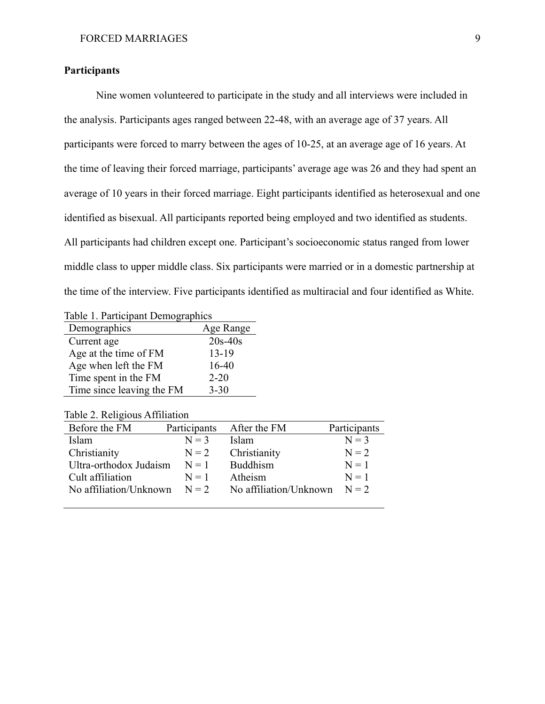#### **Participants**

Nine women volunteered to participate in the study and all interviews were included in the analysis. Participants ages ranged between 22-48, with an average age of 37 years. All participants were forced to marry between the ages of 10-25, at an average age of 16 years. At the time of leaving their forced marriage, participants' average age was 26 and they had spent an average of 10 years in their forced marriage. Eight participants identified as heterosexual and one identified as bisexual. All participants reported being employed and two identified as students. All participants had children except one. Participant's socioeconomic status ranged from lower middle class to upper middle class. Six participants were married or in a domestic partnership at the time of the interview. Five participants identified as multiracial and four identified as White.

Table 1. Participant Demographics

| Demographics              | Age Range |
|---------------------------|-----------|
| Current age               | $20s-40s$ |
| Age at the time of FM     | $13-19$   |
| Age when left the FM      | 16-40     |
| Time spent in the FM      | $2 - 20$  |
| Time since leaving the FM | $3 - 30$  |

Table 2. Religious Affiliation

| Before the FM                  | Participants | After the FM           | Participants |
|--------------------------------|--------------|------------------------|--------------|
| <b>Islam</b>                   | $N = 3$      | Islam                  | $N = 3$      |
| Christianity                   | $N = 2$      | Christianity           | $N = 2$      |
| Ultra-orthodox Judaism         | $N=1$        | <b>Buddhism</b>        | $N = 1$      |
| Cult affiliation               | $N = 1$      | Atheism                | $N = 1$      |
| No affiliation/Unknown $N = 2$ |              | No affiliation/Unknown | $N=2$        |
|                                |              |                        |              |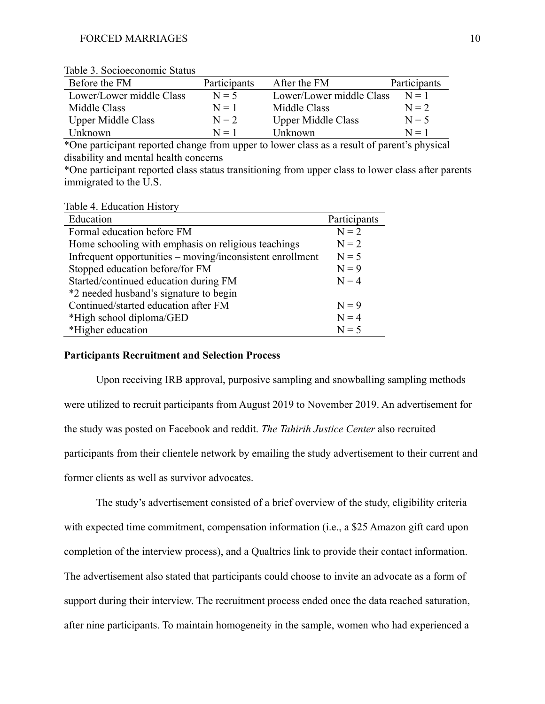| Before the FM             | Participants | After the FM              | Participants |
|---------------------------|--------------|---------------------------|--------------|
| Lower/Lower middle Class  | $N = 5$      | Lower/Lower middle Class  | $N = 1$      |
| Middle Class              | $N=1$        | Middle Class              | $N = 2$      |
| <b>Upper Middle Class</b> | $N = 2$      | <b>Upper Middle Class</b> | $N = 5$      |
| Unknown-                  | $N = 1$      | Unknown                   | $N=1$        |

Table 3. Socioeconomic Status

\*One participant reported change from upper to lower class as a result of parent's physical disability and mental health concerns

\*One participant reported class status transitioning from upper class to lower class after parents immigrated to the U.S.

Table 4. Education History

| Education                                                 | Participants |
|-----------------------------------------------------------|--------------|
| Formal education before FM                                | $N = 2$      |
| Home schooling with emphasis on religious teachings       | $N = 2$      |
| Infrequent opportunities – moving/inconsistent enrollment | $N = 5$      |
| Stopped education before/for FM                           | $N = 9$      |
| Started/continued education during FM                     | $N = 4$      |
| *2 needed husband's signature to begin                    |              |
| Continued/started education after FM                      | $N = 9$      |
| *High school diploma/GED                                  | $N = 4$      |
| *Higher education                                         | $N = 5$      |

#### **Participants Recruitment and Selection Process**

Upon receiving IRB approval, purposive sampling and snowballing sampling methods were utilized to recruit participants from August 2019 to November 2019. An advertisement for the study was posted on Facebook and reddit. *The Tahirih Justice Center* also recruited participants from their clientele network by emailing the study advertisement to their current and former clients as well as survivor advocates.

The study's advertisement consisted of a brief overview of the study, eligibility criteria with expected time commitment, compensation information (i.e., a \$25 Amazon gift card upon completion of the interview process), and a Qualtrics link to provide their contact information. The advertisement also stated that participants could choose to invite an advocate as a form of support during their interview. The recruitment process ended once the data reached saturation, after nine participants. To maintain homogeneity in the sample, women who had experienced a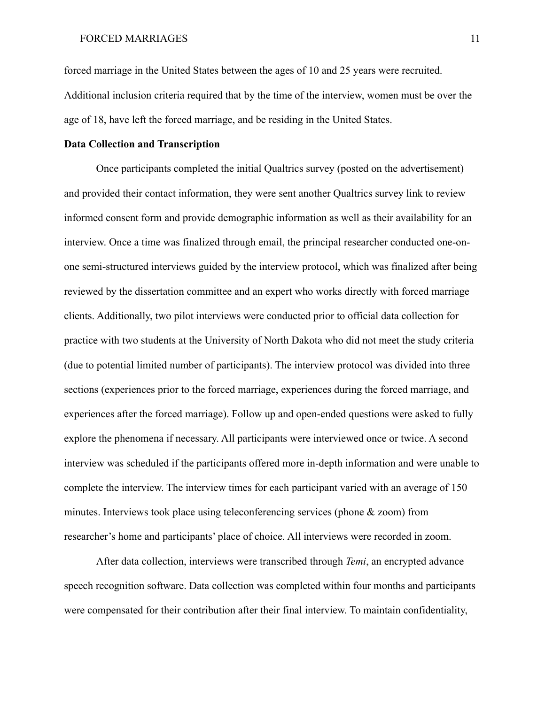forced marriage in the United States between the ages of 10 and 25 years were recruited. Additional inclusion criteria required that by the time of the interview, women must be over the age of 18, have left the forced marriage, and be residing in the United States.

#### **Data Collection and Transcription**

Once participants completed the initial Qualtrics survey (posted on the advertisement) and provided their contact information, they were sent another Qualtrics survey link to review informed consent form and provide demographic information as well as their availability for an interview. Once a time was finalized through email, the principal researcher conducted one-onone semi-structured interviews guided by the interview protocol, which was finalized after being reviewed by the dissertation committee and an expert who works directly with forced marriage clients. Additionally, two pilot interviews were conducted prior to official data collection for practice with two students at the University of North Dakota who did not meet the study criteria (due to potential limited number of participants). The interview protocol was divided into three sections (experiences prior to the forced marriage, experiences during the forced marriage, and experiences after the forced marriage). Follow up and open-ended questions were asked to fully explore the phenomena if necessary. All participants were interviewed once or twice. A second interview was scheduled if the participants offered more in-depth information and were unable to complete the interview. The interview times for each participant varied with an average of 150 minutes. Interviews took place using teleconferencing services (phone & zoom) from researcher's home and participants' place of choice. All interviews were recorded in zoom.

After data collection, interviews were transcribed through *Temi*, an encrypted advance speech recognition software. Data collection was completed within four months and participants were compensated for their contribution after their final interview. To maintain confidentiality,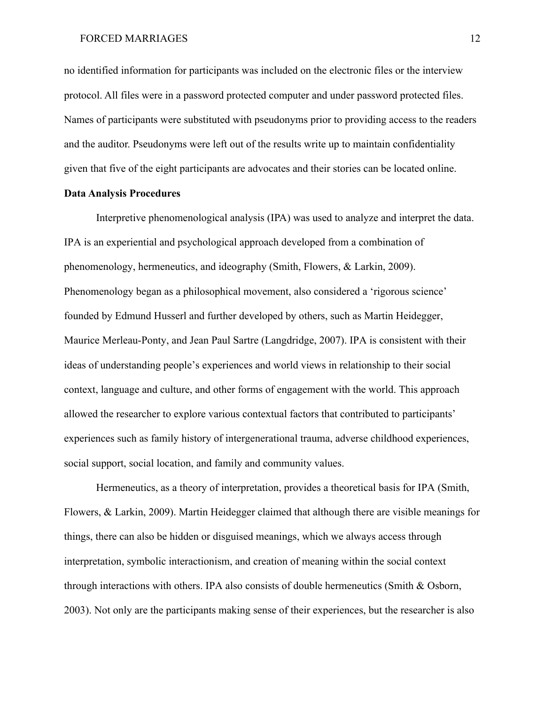no identified information for participants was included on the electronic files or the interview protocol. All files were in a password protected computer and under password protected files. Names of participants were substituted with pseudonyms prior to providing access to the readers and the auditor. Pseudonyms were left out of the results write up to maintain confidentiality given that five of the eight participants are advocates and their stories can be located online.

#### **Data Analysis Procedures**

Interpretive phenomenological analysis (IPA) was used to analyze and interpret the data. IPA is an experiential and psychological approach developed from a combination of phenomenology, hermeneutics, and ideography (Smith, Flowers, & Larkin, 2009). Phenomenology began as a philosophical movement, also considered a 'rigorous science' founded by Edmund Husserl and further developed by others, such as Martin Heidegger, Maurice Merleau-Ponty, and Jean Paul Sartre (Langdridge, 2007). IPA is consistent with their ideas of understanding people's experiences and world views in relationship to their social context, language and culture, and other forms of engagement with the world. This approach allowed the researcher to explore various contextual factors that contributed to participants' experiences such as family history of intergenerational trauma, adverse childhood experiences, social support, social location, and family and community values.

Hermeneutics, as a theory of interpretation, provides a theoretical basis for IPA (Smith, Flowers, & Larkin, 2009). Martin Heidegger claimed that although there are visible meanings for things, there can also be hidden or disguised meanings, which we always access through interpretation, symbolic interactionism, and creation of meaning within the social context through interactions with others. IPA also consists of double hermeneutics (Smith & Osborn, 2003). Not only are the participants making sense of their experiences, but the researcher is also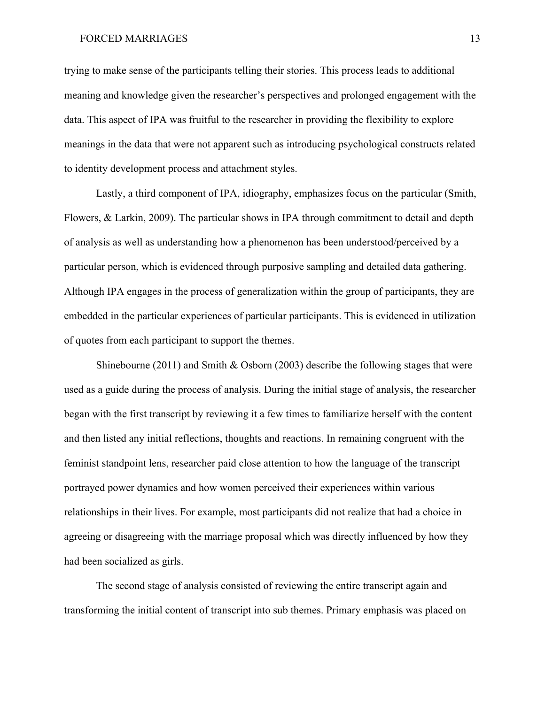trying to make sense of the participants telling their stories. This process leads to additional meaning and knowledge given the researcher's perspectives and prolonged engagement with the data. This aspect of IPA was fruitful to the researcher in providing the flexibility to explore meanings in the data that were not apparent such as introducing psychological constructs related to identity development process and attachment styles.

Lastly, a third component of IPA, idiography, emphasizes focus on the particular (Smith, Flowers, & Larkin, 2009). The particular shows in IPA through commitment to detail and depth of analysis as well as understanding how a phenomenon has been understood/perceived by a particular person, which is evidenced through purposive sampling and detailed data gathering. Although IPA engages in the process of generalization within the group of participants, they are embedded in the particular experiences of particular participants. This is evidenced in utilization of quotes from each participant to support the themes.

Shinebourne (2011) and Smith & Osborn (2003) describe the following stages that were used as a guide during the process of analysis. During the initial stage of analysis, the researcher began with the first transcript by reviewing it a few times to familiarize herself with the content and then listed any initial reflections, thoughts and reactions. In remaining congruent with the feminist standpoint lens, researcher paid close attention to how the language of the transcript portrayed power dynamics and how women perceived their experiences within various relationships in their lives. For example, most participants did not realize that had a choice in agreeing or disagreeing with the marriage proposal which was directly influenced by how they had been socialized as girls.

The second stage of analysis consisted of reviewing the entire transcript again and transforming the initial content of transcript into sub themes. Primary emphasis was placed on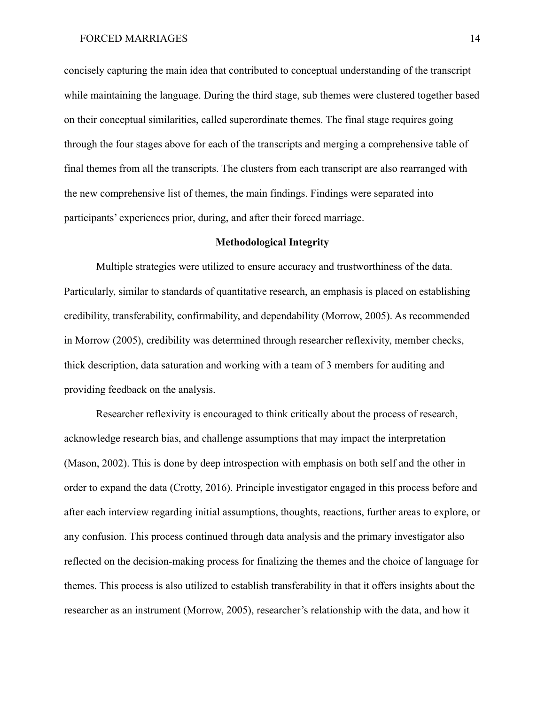concisely capturing the main idea that contributed to conceptual understanding of the transcript while maintaining the language. During the third stage, sub themes were clustered together based on their conceptual similarities, called superordinate themes. The final stage requires going through the four stages above for each of the transcripts and merging a comprehensive table of final themes from all the transcripts. The clusters from each transcript are also rearranged with the new comprehensive list of themes, the main findings. Findings were separated into participants' experiences prior, during, and after their forced marriage.

#### **Methodological Integrity**

Multiple strategies were utilized to ensure accuracy and trustworthiness of the data. Particularly, similar to standards of quantitative research, an emphasis is placed on establishing credibility, transferability, confirmability, and dependability (Morrow, 2005). As recommended in Morrow (2005), credibility was determined through researcher reflexivity, member checks, thick description, data saturation and working with a team of 3 members for auditing and providing feedback on the analysis.

Researcher reflexivity is encouraged to think critically about the process of research, acknowledge research bias, and challenge assumptions that may impact the interpretation (Mason, 2002). This is done by deep introspection with emphasis on both self and the other in order to expand the data (Crotty, 2016). Principle investigator engaged in this process before and after each interview regarding initial assumptions, thoughts, reactions, further areas to explore, or any confusion. This process continued through data analysis and the primary investigator also reflected on the decision-making process for finalizing the themes and the choice of language for themes. This process is also utilized to establish transferability in that it offers insights about the researcher as an instrument (Morrow, 2005), researcher's relationship with the data, and how it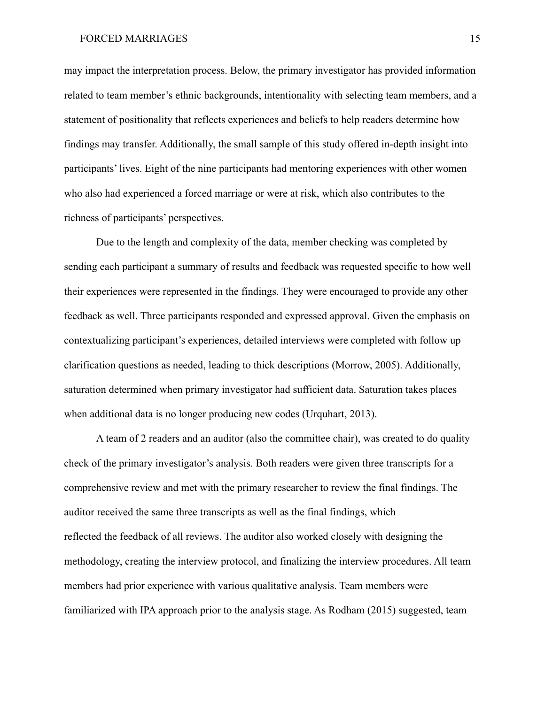may impact the interpretation process. Below, the primary investigator has provided information related to team member's ethnic backgrounds, intentionality with selecting team members, and a statement of positionality that reflects experiences and beliefs to help readers determine how findings may transfer. Additionally, the small sample of this study offered in-depth insight into participants' lives. Eight of the nine participants had mentoring experiences with other women who also had experienced a forced marriage or were at risk, which also contributes to the richness of participants' perspectives.

Due to the length and complexity of the data, member checking was completed by sending each participant a summary of results and feedback was requested specific to how well their experiences were represented in the findings. They were encouraged to provide any other feedback as well. Three participants responded and expressed approval. Given the emphasis on contextualizing participant's experiences, detailed interviews were completed with follow up clarification questions as needed, leading to thick descriptions (Morrow, 2005). Additionally, saturation determined when primary investigator had sufficient data. Saturation takes places when additional data is no longer producing new codes (Urquhart, 2013).

A team of 2 readers and an auditor (also the committee chair), was created to do quality check of the primary investigator's analysis. Both readers were given three transcripts for a comprehensive review and met with the primary researcher to review the final findings. The auditor received the same three transcripts as well as the final findings, which reflected the feedback of all reviews. The auditor also worked closely with designing the methodology, creating the interview protocol, and finalizing the interview procedures. All team members had prior experience with various qualitative analysis. Team members were familiarized with IPA approach prior to the analysis stage. As Rodham (2015) suggested, team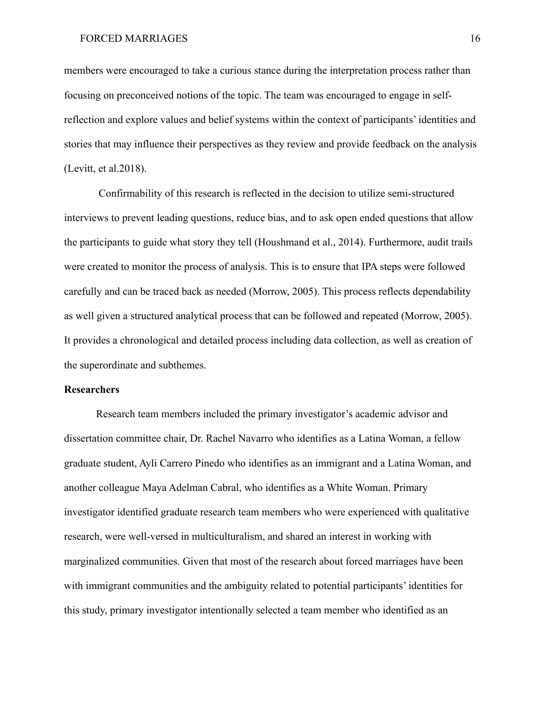members were encouraged to take a curious stance during the interpretation process rather than focusing on preconceived notions of the topic. The team was encouraged to engage in selfreflection and explore values and belief systems within the context of participants' identities and stories that may influence their perspectives as they review and provide feedback on the analysis (Levitt, et al.2018).

Confirmability of this research is reflected in the decision to utilize semi-structured interviews to prevent leading questions, reduce bias, and to ask open ended questions that allow the participants to guide what story they tell (Houshmand et al., 2014). Furthermore, audit trails were created to monitor the process of analysis. This is to ensure that IPA steps were followed carefully and can be traced back as needed (Morrow, 2005). This process reflects dependability as well given a structured analytical process that can be followed and repeated (Morrow, 2005). It provides a chronological and detailed process including data collection, as well as creation of the superordinate and subthemes.

#### **Researchers**

Research team members included the primary investigator's academic advisor and dissertation committee chair, Dr. Rachel Navarro who identifies as a Latina Woman, a fellow graduate student, Ayli Carrero Pinedo who identifies as an immigrant and a Latina Woman, and another colleague Maya Adelman Cabral, who identifies as a White Woman. Primary investigator identified graduate research team members who were experienced with qualitative research, were well-versed in multiculturalism, and shared an interest in working with marginalized communities. Given that most of the research about forced marriages have been with immigrant communities and the ambiguity related to potential participants' identities for this study, primary investigator intentionally selected a team member who identified as an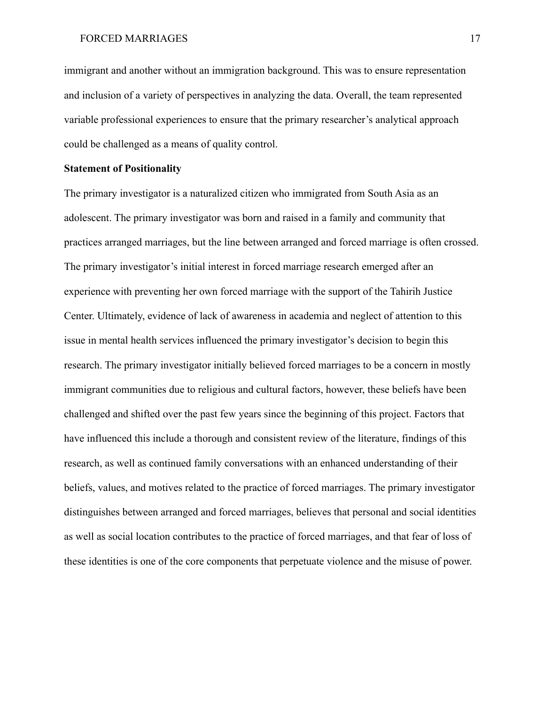immigrant and another without an immigration background. This was to ensure representation and inclusion of a variety of perspectives in analyzing the data. Overall, the team represented variable professional experiences to ensure that the primary researcher's analytical approach could be challenged as a means of quality control.

#### **Statement of Positionality**

The primary investigator is a naturalized citizen who immigrated from South Asia as an adolescent. The primary investigator was born and raised in a family and community that practices arranged marriages, but the line between arranged and forced marriage is often crossed. The primary investigator's initial interest in forced marriage research emerged after an experience with preventing her own forced marriage with the support of the Tahirih Justice Center. Ultimately, evidence of lack of awareness in academia and neglect of attention to this issue in mental health services influenced the primary investigator's decision to begin this research. The primary investigator initially believed forced marriages to be a concern in mostly immigrant communities due to religious and cultural factors, however, these beliefs have been challenged and shifted over the past few years since the beginning of this project. Factors that have influenced this include a thorough and consistent review of the literature, findings of this research, as well as continued family conversations with an enhanced understanding of their beliefs, values, and motives related to the practice of forced marriages. The primary investigator distinguishes between arranged and forced marriages, believes that personal and social identities as well as social location contributes to the practice of forced marriages, and that fear of loss of these identities is one of the core components that perpetuate violence and the misuse of power.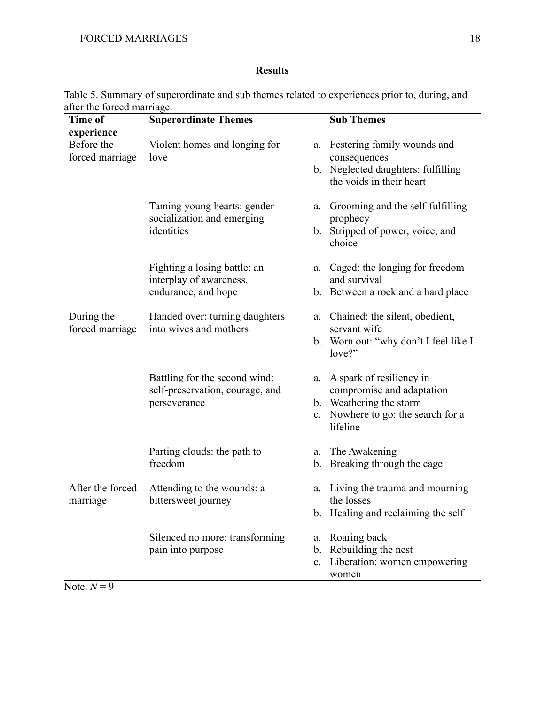## **Results**

| Time of                  | <b>Superordinate Themes</b>     | <b>Sub Themes</b>                                          |
|--------------------------|---------------------------------|------------------------------------------------------------|
| experience<br>Before the | Violent homes and longing for   | a. Festering family wounds and                             |
| forced marriage          | love                            | consequences                                               |
|                          |                                 | b. Neglected daughters: fulfilling                         |
|                          |                                 | the voids in their heart                                   |
|                          | Taming young hearts: gender     | Grooming and the self-fulfilling<br>a.                     |
|                          | socialization and emerging      | prophecy                                                   |
|                          | identities                      | b. Stripped of power, voice, and<br>choice                 |
|                          | Fighting a losing battle: an    | Caged: the longing for freedom<br>a.                       |
|                          | interplay of awareness,         | and survival                                               |
|                          | endurance, and hope             | b. Between a rock and a hard place                         |
| During the               | Handed over: turning daughters  | Chained: the silent, obedient,<br>a.                       |
| forced marriage          | into wives and mothers          | servant wife                                               |
|                          |                                 | b. Worn out: "why don't I feel like I<br>love?"            |
|                          | Battling for the second wind:   | A spark of resiliency in<br>a.                             |
|                          | self-preservation, courage, and | compromise and adaptation                                  |
|                          | perseverance                    | b. Weathering the storm                                    |
|                          |                                 | Nowhere to go: the search for a<br>$c_{\cdot}$<br>lifeline |
|                          | Parting clouds: the path to     | The Awakening<br>a.                                        |
|                          | freedom                         | b. Breaking through the cage                               |
| After the forced         | Attending to the wounds: a      | Living the trauma and mourning<br>a.                       |
| marriage                 | bittersweet journey             | the losses                                                 |
|                          |                                 | b. Healing and reclaiming the self                         |
|                          | Silenced no more: transforming  | a. Roaring back                                            |
|                          | pain into purpose               | Rebuilding the nest<br>$\mathbf{b}$ .                      |
|                          |                                 | Liberation: women empowering<br>c.<br>women                |
| Note. $N=9$              |                                 |                                                            |

Table 5. Summary of superordinate and sub themes related to experiences prior to, during, and after the forced marriage.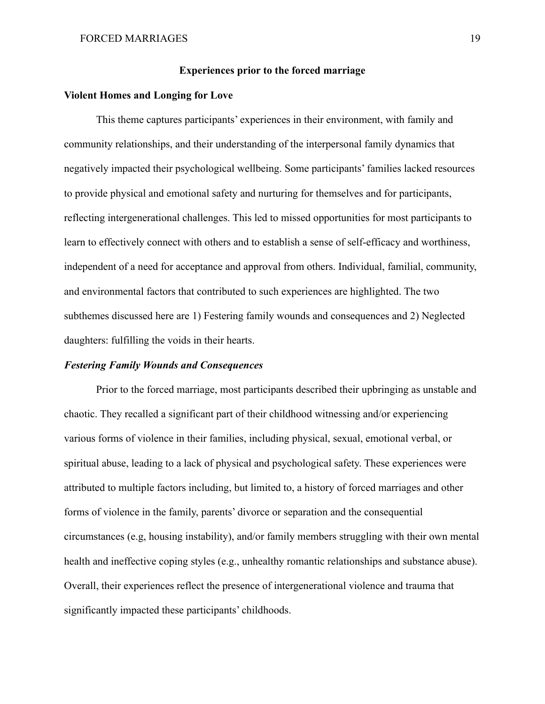#### **Experiences prior to the forced marriage**

#### **Violent Homes and Longing for Love**

This theme captures participants' experiences in their environment, with family and community relationships, and their understanding of the interpersonal family dynamics that negatively impacted their psychological wellbeing. Some participants' families lacked resources to provide physical and emotional safety and nurturing for themselves and for participants, reflecting intergenerational challenges. This led to missed opportunities for most participants to learn to effectively connect with others and to establish a sense of self-efficacy and worthiness, independent of a need for acceptance and approval from others. Individual, familial, community, and environmental factors that contributed to such experiences are highlighted. The two subthemes discussed here are 1) Festering family wounds and consequences and 2) Neglected daughters: fulfilling the voids in their hearts.

#### *Festering Family Wounds and Consequences*

Prior to the forced marriage, most participants described their upbringing as unstable and chaotic. They recalled a significant part of their childhood witnessing and/or experiencing various forms of violence in their families, including physical, sexual, emotional verbal, or spiritual abuse, leading to a lack of physical and psychological safety. These experiences were attributed to multiple factors including, but limited to, a history of forced marriages and other forms of violence in the family, parents' divorce or separation and the consequential circumstances (e.g, housing instability), and/or family members struggling with their own mental health and ineffective coping styles (e.g., unhealthy romantic relationships and substance abuse). Overall, their experiences reflect the presence of intergenerational violence and trauma that significantly impacted these participants' childhoods.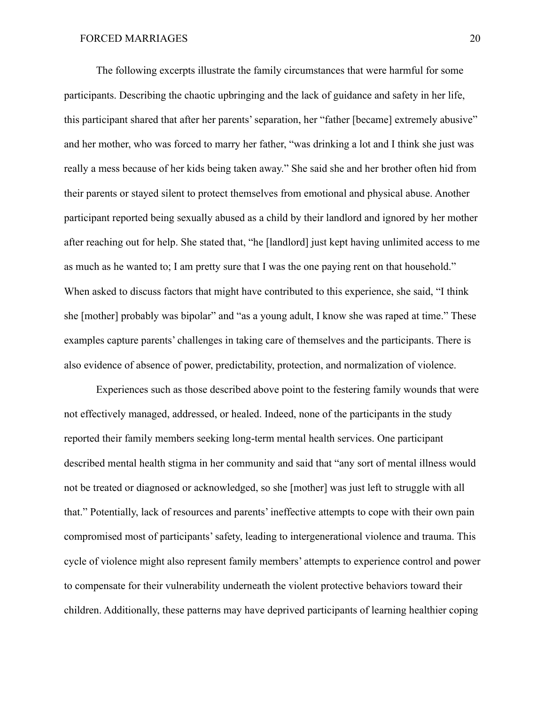The following excerpts illustrate the family circumstances that were harmful for some participants. Describing the chaotic upbringing and the lack of guidance and safety in her life, this participant shared that after her parents' separation, her "father [became] extremely abusive" and her mother, who was forced to marry her father, "was drinking a lot and I think she just was really a mess because of her kids being taken away." She said she and her brother often hid from their parents or stayed silent to protect themselves from emotional and physical abuse. Another participant reported being sexually abused as a child by their landlord and ignored by her mother after reaching out for help. She stated that, "he [landlord] just kept having unlimited access to me as much as he wanted to; I am pretty sure that I was the one paying rent on that household." When asked to discuss factors that might have contributed to this experience, she said, "I think she [mother] probably was bipolar" and "as a young adult, I know she was raped at time." These examples capture parents' challenges in taking care of themselves and the participants. There is also evidence of absence of power, predictability, protection, and normalization of violence.

Experiences such as those described above point to the festering family wounds that were not effectively managed, addressed, or healed. Indeed, none of the participants in the study reported their family members seeking long-term mental health services. One participant described mental health stigma in her community and said that "any sort of mental illness would not be treated or diagnosed or acknowledged, so she [mother] was just left to struggle with all that." Potentially, lack of resources and parents' ineffective attempts to cope with their own pain compromised most of participants' safety, leading to intergenerational violence and trauma. This cycle of violence might also represent family members' attempts to experience control and power to compensate for their vulnerability underneath the violent protective behaviors toward their children. Additionally, these patterns may have deprived participants of learning healthier coping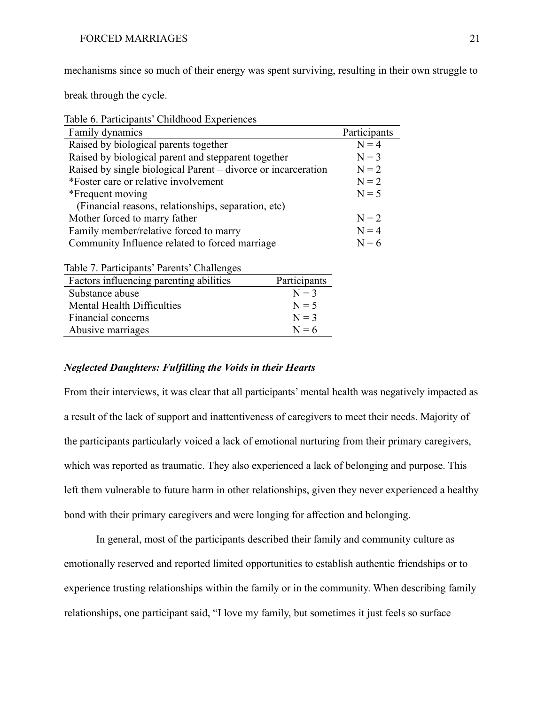mechanisms since so much of their energy was spent surviving, resulting in their own struggle to

break through the cycle.

| Table 6. Participants' Childhood Experiences |  |
|----------------------------------------------|--|

| Family dynamics                                               | Participants |
|---------------------------------------------------------------|--------------|
| Raised by biological parents together                         | $N = 4$      |
| Raised by biological parent and stepparent together           | $N = 3$      |
| Raised by single biological Parent – divorce or incarceration | $N = 2$      |
| *Foster care or relative involvement                          | $N = 2$      |
| *Frequent moving                                              | $N = 5$      |
| (Financial reasons, relationships, separation, etc)           |              |
| Mother forced to marry father                                 | $N = 2$      |
| Family member/relative forced to marry                        | $N = 4$      |
| Community Influence related to forced marriage                | $N = 6$      |

| Table 7. Participants' Parents' Challenges |  |
|--------------------------------------------|--|
|                                            |  |

| Factors influencing parenting abilities | Participants |
|-----------------------------------------|--------------|
| Substance abuse                         | $N = 3$      |
| Mental Health Difficulties              | $N = 5$      |
| Financial concerns                      | $N = 3$      |
| Abusive marriages                       | $N = 6$      |

#### *Neglected Daughters: Fulfilling the Voids in their Hearts*

From their interviews, it was clear that all participants' mental health was negatively impacted as a result of the lack of support and inattentiveness of caregivers to meet their needs. Majority of the participants particularly voiced a lack of emotional nurturing from their primary caregivers, which was reported as traumatic. They also experienced a lack of belonging and purpose. This left them vulnerable to future harm in other relationships, given they never experienced a healthy bond with their primary caregivers and were longing for affection and belonging.

In general, most of the participants described their family and community culture as emotionally reserved and reported limited opportunities to establish authentic friendships or to experience trusting relationships within the family or in the community. When describing family relationships, one participant said, "I love my family, but sometimes it just feels so surface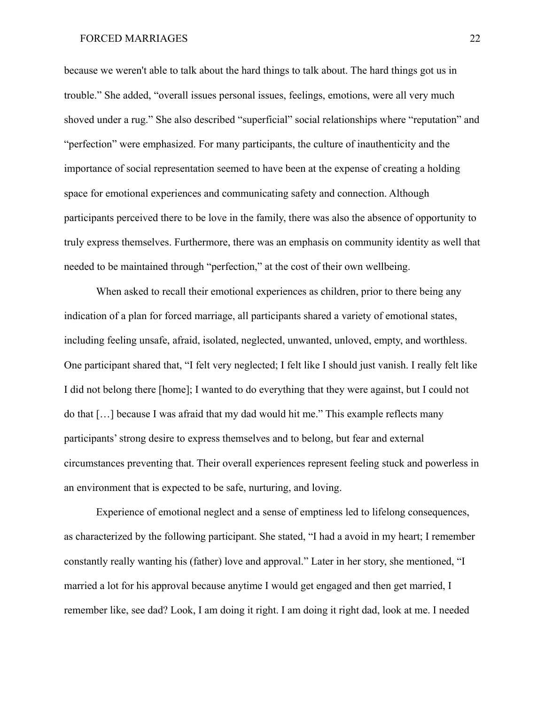because we weren't able to talk about the hard things to talk about. The hard things got us in trouble." She added, "overall issues personal issues, feelings, emotions, were all very much shoved under a rug." She also described "superficial" social relationships where "reputation" and "perfection" were emphasized. For many participants, the culture of inauthenticity and the importance of social representation seemed to have been at the expense of creating a holding space for emotional experiences and communicating safety and connection. Although participants perceived there to be love in the family, there was also the absence of opportunity to truly express themselves. Furthermore, there was an emphasis on community identity as well that needed to be maintained through "perfection," at the cost of their own wellbeing.

When asked to recall their emotional experiences as children, prior to there being any indication of a plan for forced marriage, all participants shared a variety of emotional states, including feeling unsafe, afraid, isolated, neglected, unwanted, unloved, empty, and worthless. One participant shared that, "I felt very neglected; I felt like I should just vanish. I really felt like I did not belong there [home]; I wanted to do everything that they were against, but I could not do that […] because I was afraid that my dad would hit me." This example reflects many participants' strong desire to express themselves and to belong, but fear and external circumstances preventing that. Their overall experiences represent feeling stuck and powerless in an environment that is expected to be safe, nurturing, and loving.

Experience of emotional neglect and a sense of emptiness led to lifelong consequences, as characterized by the following participant. She stated, "I had a avoid in my heart; I remember constantly really wanting his (father) love and approval." Later in her story, she mentioned, "I married a lot for his approval because anytime I would get engaged and then get married, I remember like, see dad? Look, I am doing it right. I am doing it right dad, look at me. I needed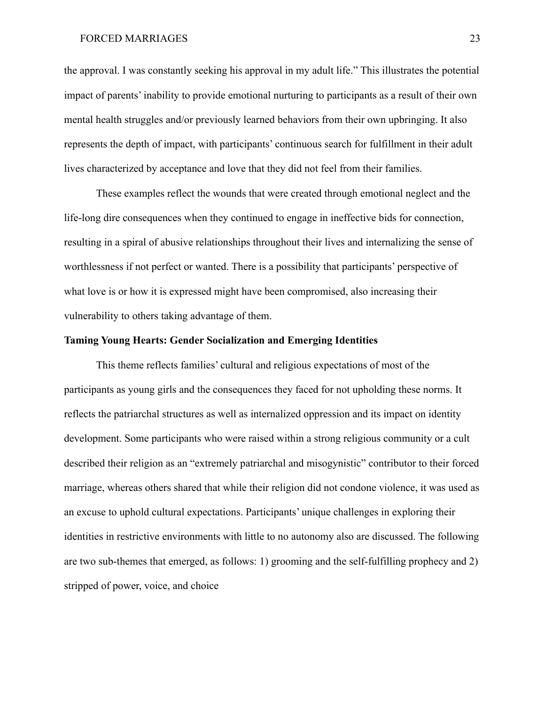the approval. I was constantly seeking his approval in my adult life." This illustrates the potential impact of parents' inability to provide emotional nurturing to participants as a result of their own mental health struggles and/or previously learned behaviors from their own upbringing. It also represents the depth of impact, with participants' continuous search for fulfillment in their adult lives characterized by acceptance and love that they did not feel from their families.

These examples reflect the wounds that were created through emotional neglect and the life-long dire consequences when they continued to engage in ineffective bids for connection, resulting in a spiral of abusive relationships throughout their lives and internalizing the sense of worthlessness if not perfect or wanted. There is a possibility that participants' perspective of what love is or how it is expressed might have been compromised, also increasing their vulnerability to others taking advantage of them.

#### **Taming Young Hearts: Gender Socialization and Emerging Identities**

This theme reflects families' cultural and religious expectations of most of the participants as young girls and the consequences they faced for not upholding these norms. It reflects the patriarchal structures as well as internalized oppression and its impact on identity development. Some participants who were raised within a strong religious community or a cult described their religion as an "extremely patriarchal and misogynistic" contributor to their forced marriage, whereas others shared that while their religion did not condone violence, it was used as an excuse to uphold cultural expectations. Participants' unique challenges in exploring their identities in restrictive environments with little to no autonomy also are discussed. The following are two sub-themes that emerged, as follows: 1) grooming and the self-fulfilling prophecy and 2) stripped of power, voice, and choice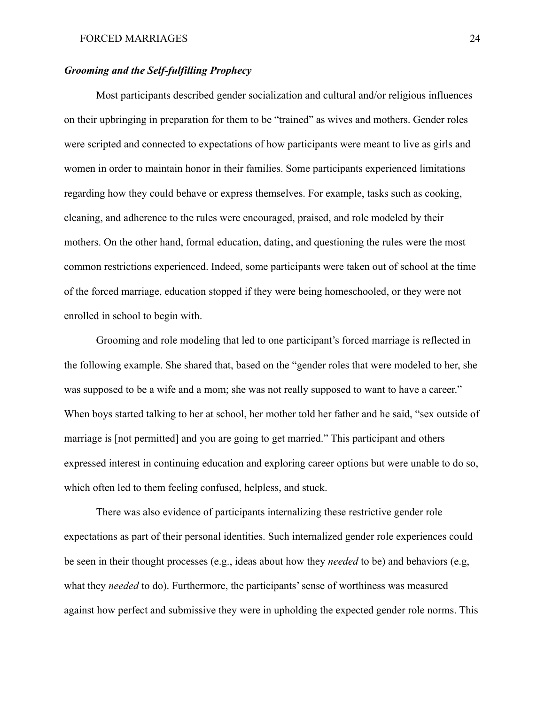#### *Grooming and the Self-fulfilling Prophecy*

Most participants described gender socialization and cultural and/or religious influences on their upbringing in preparation for them to be "trained" as wives and mothers. Gender roles were scripted and connected to expectations of how participants were meant to live as girls and women in order to maintain honor in their families. Some participants experienced limitations regarding how they could behave or express themselves. For example, tasks such as cooking, cleaning, and adherence to the rules were encouraged, praised, and role modeled by their mothers. On the other hand, formal education, dating, and questioning the rules were the most common restrictions experienced. Indeed, some participants were taken out of school at the time of the forced marriage, education stopped if they were being homeschooled, or they were not enrolled in school to begin with.

Grooming and role modeling that led to one participant's forced marriage is reflected in the following example. She shared that, based on the "gender roles that were modeled to her, she was supposed to be a wife and a mom; she was not really supposed to want to have a career." When boys started talking to her at school, her mother told her father and he said, "sex outside of marriage is [not permitted] and you are going to get married." This participant and others expressed interest in continuing education and exploring career options but were unable to do so, which often led to them feeling confused, helpless, and stuck.

There was also evidence of participants internalizing these restrictive gender role expectations as part of their personal identities. Such internalized gender role experiences could be seen in their thought processes (e.g., ideas about how they *needed* to be) and behaviors (e.g, what they *needed* to do). Furthermore, the participants' sense of worthiness was measured against how perfect and submissive they were in upholding the expected gender role norms. This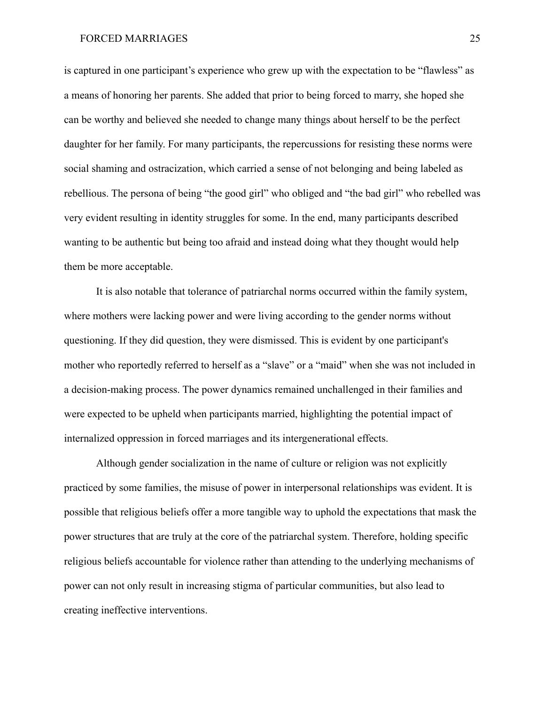is captured in one participant's experience who grew up with the expectation to be "flawless" as a means of honoring her parents. She added that prior to being forced to marry, she hoped she can be worthy and believed she needed to change many things about herself to be the perfect daughter for her family. For many participants, the repercussions for resisting these norms were social shaming and ostracization, which carried a sense of not belonging and being labeled as rebellious. The persona of being "the good girl" who obliged and "the bad girl" who rebelled was very evident resulting in identity struggles for some. In the end, many participants described wanting to be authentic but being too afraid and instead doing what they thought would help them be more acceptable.

It is also notable that tolerance of patriarchal norms occurred within the family system, where mothers were lacking power and were living according to the gender norms without questioning. If they did question, they were dismissed. This is evident by one participant's mother who reportedly referred to herself as a "slave" or a "maid" when she was not included in a decision-making process. The power dynamics remained unchallenged in their families and were expected to be upheld when participants married, highlighting the potential impact of internalized oppression in forced marriages and its intergenerational effects.

Although gender socialization in the name of culture or religion was not explicitly practiced by some families, the misuse of power in interpersonal relationships was evident. It is possible that religious beliefs offer a more tangible way to uphold the expectations that mask the power structures that are truly at the core of the patriarchal system. Therefore, holding specific religious beliefs accountable for violence rather than attending to the underlying mechanisms of power can not only result in increasing stigma of particular communities, but also lead to creating ineffective interventions.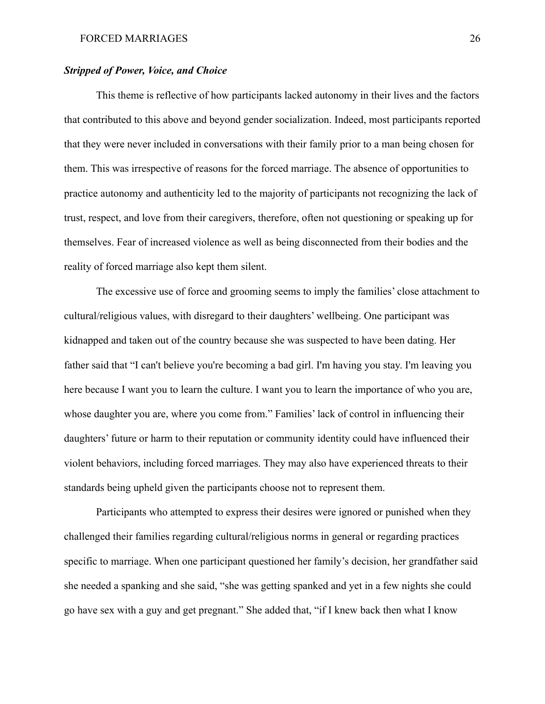#### *Stripped of Power, Voice, and Choice*

This theme is reflective of how participants lacked autonomy in their lives and the factors that contributed to this above and beyond gender socialization. Indeed, most participants reported that they were never included in conversations with their family prior to a man being chosen for them. This was irrespective of reasons for the forced marriage. The absence of opportunities to practice autonomy and authenticity led to the majority of participants not recognizing the lack of trust, respect, and love from their caregivers, therefore, often not questioning or speaking up for themselves. Fear of increased violence as well as being disconnected from their bodies and the reality of forced marriage also kept them silent.

The excessive use of force and grooming seems to imply the families' close attachment to cultural/religious values, with disregard to their daughters' wellbeing. One participant was kidnapped and taken out of the country because she was suspected to have been dating. Her father said that "I can't believe you're becoming a bad girl. I'm having you stay. I'm leaving you here because I want you to learn the culture. I want you to learn the importance of who you are, whose daughter you are, where you come from." Families' lack of control in influencing their daughters' future or harm to their reputation or community identity could have influenced their violent behaviors, including forced marriages. They may also have experienced threats to their standards being upheld given the participants choose not to represent them.

Participants who attempted to express their desires were ignored or punished when they challenged their families regarding cultural/religious norms in general or regarding practices specific to marriage. When one participant questioned her family's decision, her grandfather said she needed a spanking and she said, "she was getting spanked and yet in a few nights she could go have sex with a guy and get pregnant." She added that, "if I knew back then what I know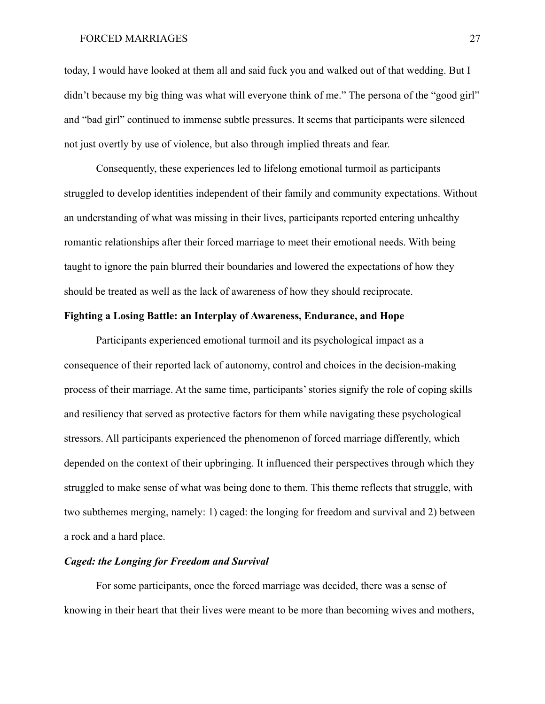today, I would have looked at them all and said fuck you and walked out of that wedding. But I didn't because my big thing was what will everyone think of me." The persona of the "good girl" and "bad girl" continued to immense subtle pressures. It seems that participants were silenced not just overtly by use of violence, but also through implied threats and fear.

Consequently, these experiences led to lifelong emotional turmoil as participants struggled to develop identities independent of their family and community expectations. Without an understanding of what was missing in their lives, participants reported entering unhealthy romantic relationships after their forced marriage to meet their emotional needs. With being taught to ignore the pain blurred their boundaries and lowered the expectations of how they should be treated as well as the lack of awareness of how they should reciprocate.

#### **Fighting a Losing Battle: an Interplay of Awareness, Endurance, and Hope**

Participants experienced emotional turmoil and its psychological impact as a consequence of their reported lack of autonomy, control and choices in the decision-making process of their marriage. At the same time, participants' stories signify the role of coping skills and resiliency that served as protective factors for them while navigating these psychological stressors. All participants experienced the phenomenon of forced marriage differently, which depended on the context of their upbringing. It influenced their perspectives through which they struggled to make sense of what was being done to them. This theme reflects that struggle, with two subthemes merging, namely: 1) caged: the longing for freedom and survival and 2) between a rock and a hard place.

#### *Caged: the Longing for Freedom and Survival*

For some participants, once the forced marriage was decided, there was a sense of knowing in their heart that their lives were meant to be more than becoming wives and mothers,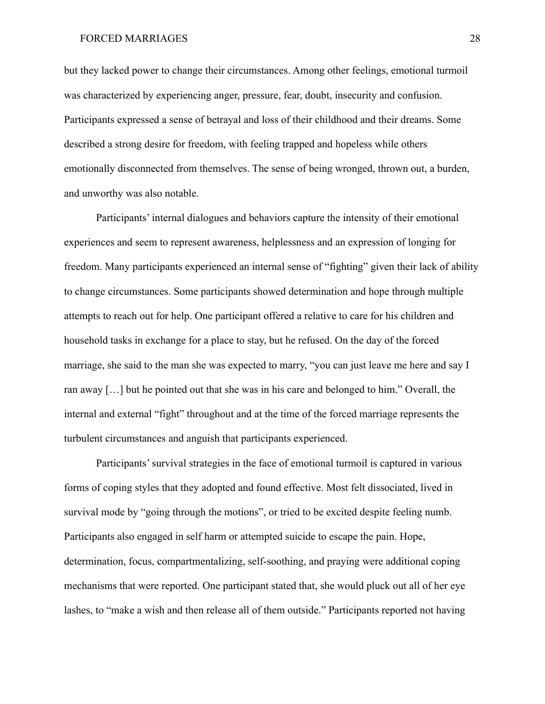but they lacked power to change their circumstances. Among other feelings, emotional turmoil was characterized by experiencing anger, pressure, fear, doubt, insecurity and confusion. Participants expressed a sense of betrayal and loss of their childhood and their dreams. Some described a strong desire for freedom, with feeling trapped and hopeless while others emotionally disconnected from themselves. The sense of being wronged, thrown out, a burden, and unworthy was also notable.

Participants' internal dialogues and behaviors capture the intensity of their emotional experiences and seem to represent awareness, helplessness and an expression of longing for freedom. Many participants experienced an internal sense of "fighting" given their lack of ability to change circumstances. Some participants showed determination and hope through multiple attempts to reach out for help. One participant offered a relative to care for his children and household tasks in exchange for a place to stay, but he refused. On the day of the forced marriage, she said to the man she was expected to marry, "you can just leave me here and say I ran away […] but he pointed out that she was in his care and belonged to him." Overall, the internal and external "fight" throughout and at the time of the forced marriage represents the turbulent circumstances and anguish that participants experienced.

Participants' survival strategies in the face of emotional turmoil is captured in various forms of coping styles that they adopted and found effective. Most felt dissociated, lived in survival mode by "going through the motions", or tried to be excited despite feeling numb. Participants also engaged in self harm or attempted suicide to escape the pain. Hope, determination, focus, compartmentalizing, self-soothing, and praying were additional coping mechanisms that were reported. One participant stated that, she would pluck out all of her eye lashes, to "make a wish and then release all of them outside." Participants reported not having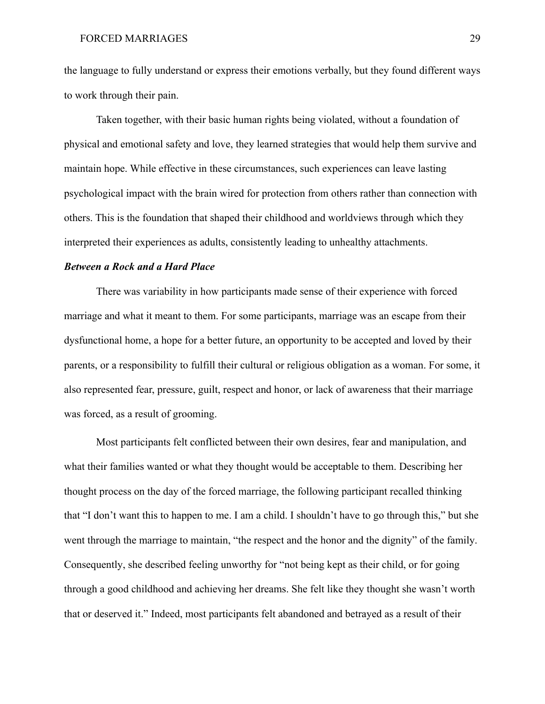the language to fully understand or express their emotions verbally, but they found different ways to work through their pain.

Taken together, with their basic human rights being violated, without a foundation of physical and emotional safety and love, they learned strategies that would help them survive and maintain hope. While effective in these circumstances, such experiences can leave lasting psychological impact with the brain wired for protection from others rather than connection with others. This is the foundation that shaped their childhood and worldviews through which they interpreted their experiences as adults, consistently leading to unhealthy attachments.

# *Between a Rock and a Hard Place*

There was variability in how participants made sense of their experience with forced marriage and what it meant to them. For some participants, marriage was an escape from their dysfunctional home, a hope for a better future, an opportunity to be accepted and loved by their parents, or a responsibility to fulfill their cultural or religious obligation as a woman. For some, it also represented fear, pressure, guilt, respect and honor, or lack of awareness that their marriage was forced, as a result of grooming.

Most participants felt conflicted between their own desires, fear and manipulation, and what their families wanted or what they thought would be acceptable to them. Describing her thought process on the day of the forced marriage, the following participant recalled thinking that "I don't want this to happen to me. I am a child. I shouldn't have to go through this," but she went through the marriage to maintain, "the respect and the honor and the dignity" of the family. Consequently, she described feeling unworthy for "not being kept as their child, or for going through a good childhood and achieving her dreams. She felt like they thought she wasn't worth that or deserved it." Indeed, most participants felt abandoned and betrayed as a result of their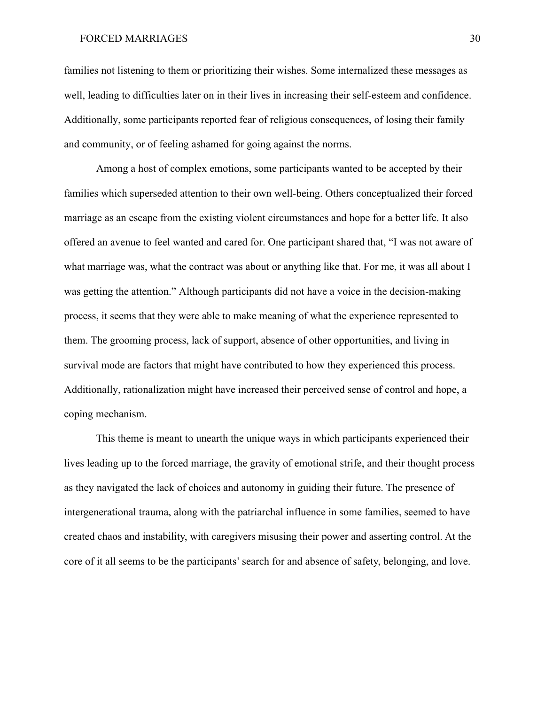families not listening to them or prioritizing their wishes. Some internalized these messages as well, leading to difficulties later on in their lives in increasing their self-esteem and confidence. Additionally, some participants reported fear of religious consequences, of losing their family and community, or of feeling ashamed for going against the norms.

Among a host of complex emotions, some participants wanted to be accepted by their families which superseded attention to their own well-being. Others conceptualized their forced marriage as an escape from the existing violent circumstances and hope for a better life. It also offered an avenue to feel wanted and cared for. One participant shared that, "I was not aware of what marriage was, what the contract was about or anything like that. For me, it was all about I was getting the attention." Although participants did not have a voice in the decision-making process, it seems that they were able to make meaning of what the experience represented to them. The grooming process, lack of support, absence of other opportunities, and living in survival mode are factors that might have contributed to how they experienced this process. Additionally, rationalization might have increased their perceived sense of control and hope, a coping mechanism.

This theme is meant to unearth the unique ways in which participants experienced their lives leading up to the forced marriage, the gravity of emotional strife, and their thought process as they navigated the lack of choices and autonomy in guiding their future. The presence of intergenerational trauma, along with the patriarchal influence in some families, seemed to have created chaos and instability, with caregivers misusing their power and asserting control. At the core of it all seems to be the participants' search for and absence of safety, belonging, and love.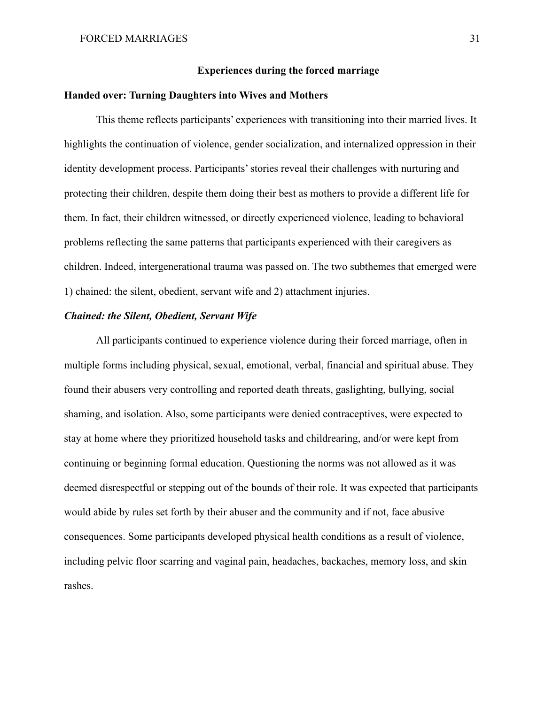### **Experiences during the forced marriage**

# **Handed over: Turning Daughters into Wives and Mothers**

This theme reflects participants' experiences with transitioning into their married lives. It highlights the continuation of violence, gender socialization, and internalized oppression in their identity development process. Participants' stories reveal their challenges with nurturing and protecting their children, despite them doing their best as mothers to provide a different life for them. In fact, their children witnessed, or directly experienced violence, leading to behavioral problems reflecting the same patterns that participants experienced with their caregivers as children. Indeed, intergenerational trauma was passed on. The two subthemes that emerged were 1) chained: the silent, obedient, servant wife and 2) attachment injuries.

#### *Chained: the Silent, Obedient, Servant Wife*

All participants continued to experience violence during their forced marriage, often in multiple forms including physical, sexual, emotional, verbal, financial and spiritual abuse. They found their abusers very controlling and reported death threats, gaslighting, bullying, social shaming, and isolation. Also, some participants were denied contraceptives, were expected to stay at home where they prioritized household tasks and childrearing, and/or were kept from continuing or beginning formal education. Questioning the norms was not allowed as it was deemed disrespectful or stepping out of the bounds of their role. It was expected that participants would abide by rules set forth by their abuser and the community and if not, face abusive consequences. Some participants developed physical health conditions as a result of violence, including pelvic floor scarring and vaginal pain, headaches, backaches, memory loss, and skin rashes.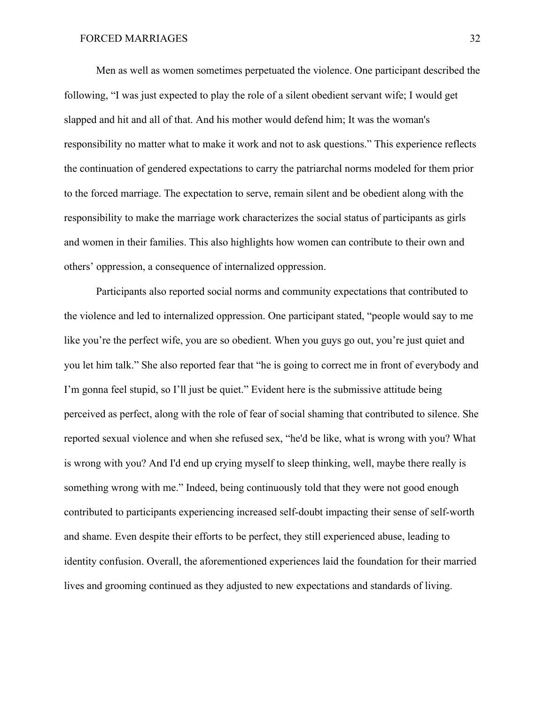Men as well as women sometimes perpetuated the violence. One participant described the following, "I was just expected to play the role of a silent obedient servant wife; I would get slapped and hit and all of that. And his mother would defend him; It was the woman's responsibility no matter what to make it work and not to ask questions." This experience reflects the continuation of gendered expectations to carry the patriarchal norms modeled for them prior to the forced marriage. The expectation to serve, remain silent and be obedient along with the responsibility to make the marriage work characterizes the social status of participants as girls and women in their families. This also highlights how women can contribute to their own and others' oppression, a consequence of internalized oppression.

Participants also reported social norms and community expectations that contributed to the violence and led to internalized oppression. One participant stated, "people would say to me like you're the perfect wife, you are so obedient. When you guys go out, you're just quiet and you let him talk." She also reported fear that "he is going to correct me in front of everybody and I'm gonna feel stupid, so I'll just be quiet." Evident here is the submissive attitude being perceived as perfect, along with the role of fear of social shaming that contributed to silence. She reported sexual violence and when she refused sex, "he'd be like, what is wrong with you? What is wrong with you? And I'd end up crying myself to sleep thinking, well, maybe there really is something wrong with me." Indeed, being continuously told that they were not good enough contributed to participants experiencing increased self-doubt impacting their sense of self-worth and shame. Even despite their efforts to be perfect, they still experienced abuse, leading to identity confusion. Overall, the aforementioned experiences laid the foundation for their married lives and grooming continued as they adjusted to new expectations and standards of living.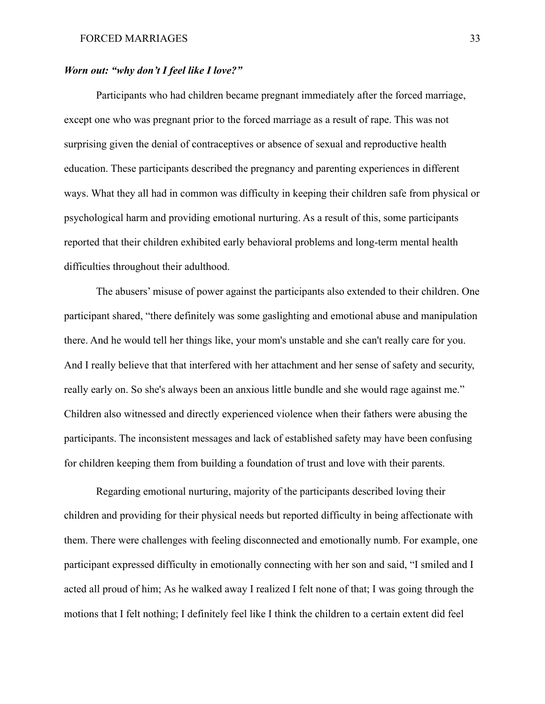# *Worn out: "why don't I feel like I love?"*

Participants who had children became pregnant immediately after the forced marriage, except one who was pregnant prior to the forced marriage as a result of rape. This was not surprising given the denial of contraceptives or absence of sexual and reproductive health education. These participants described the pregnancy and parenting experiences in different ways. What they all had in common was difficulty in keeping their children safe from physical or psychological harm and providing emotional nurturing. As a result of this, some participants reported that their children exhibited early behavioral problems and long-term mental health difficulties throughout their adulthood.

The abusers' misuse of power against the participants also extended to their children. One participant shared, "there definitely was some gaslighting and emotional abuse and manipulation there. And he would tell her things like, your mom's unstable and she can't really care for you. And I really believe that that interfered with her attachment and her sense of safety and security, really early on. So she's always been an anxious little bundle and she would rage against me." Children also witnessed and directly experienced violence when their fathers were abusing the participants. The inconsistent messages and lack of established safety may have been confusing for children keeping them from building a foundation of trust and love with their parents.

Regarding emotional nurturing, majority of the participants described loving their children and providing for their physical needs but reported difficulty in being affectionate with them. There were challenges with feeling disconnected and emotionally numb. For example, one participant expressed difficulty in emotionally connecting with her son and said, "I smiled and I acted all proud of him; As he walked away I realized I felt none of that; I was going through the motions that I felt nothing; I definitely feel like I think the children to a certain extent did feel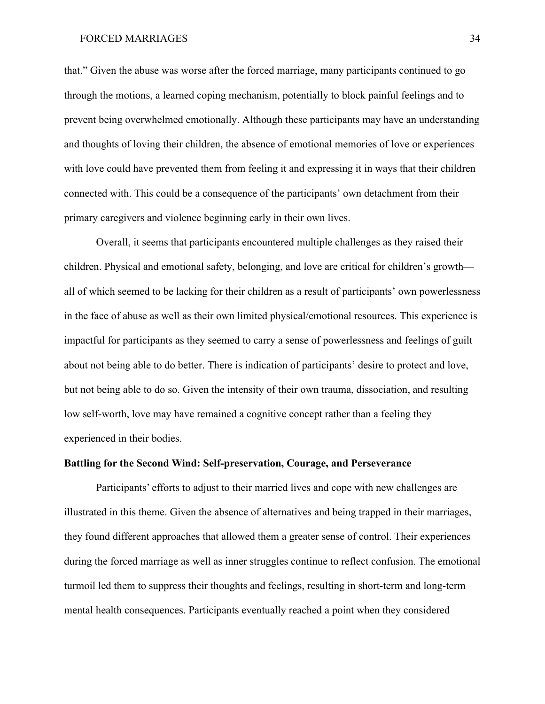that." Given the abuse was worse after the forced marriage, many participants continued to go through the motions, a learned coping mechanism, potentially to block painful feelings and to prevent being overwhelmed emotionally. Although these participants may have an understanding and thoughts of loving their children, the absence of emotional memories of love or experiences with love could have prevented them from feeling it and expressing it in ways that their children connected with. This could be a consequence of the participants' own detachment from their primary caregivers and violence beginning early in their own lives.

Overall, it seems that participants encountered multiple challenges as they raised their children. Physical and emotional safety, belonging, and love are critical for children's growth all of which seemed to be lacking for their children as a result of participants' own powerlessness in the face of abuse as well as their own limited physical/emotional resources. This experience is impactful for participants as they seemed to carry a sense of powerlessness and feelings of guilt about not being able to do better. There is indication of participants' desire to protect and love, but not being able to do so. Given the intensity of their own trauma, dissociation, and resulting low self-worth, love may have remained a cognitive concept rather than a feeling they experienced in their bodies.

# **Battling for the Second Wind: Self-preservation, Courage, and Perseverance**

Participants' efforts to adjust to their married lives and cope with new challenges are illustrated in this theme. Given the absence of alternatives and being trapped in their marriages, they found different approaches that allowed them a greater sense of control. Their experiences during the forced marriage as well as inner struggles continue to reflect confusion. The emotional turmoil led them to suppress their thoughts and feelings, resulting in short-term and long-term mental health consequences. Participants eventually reached a point when they considered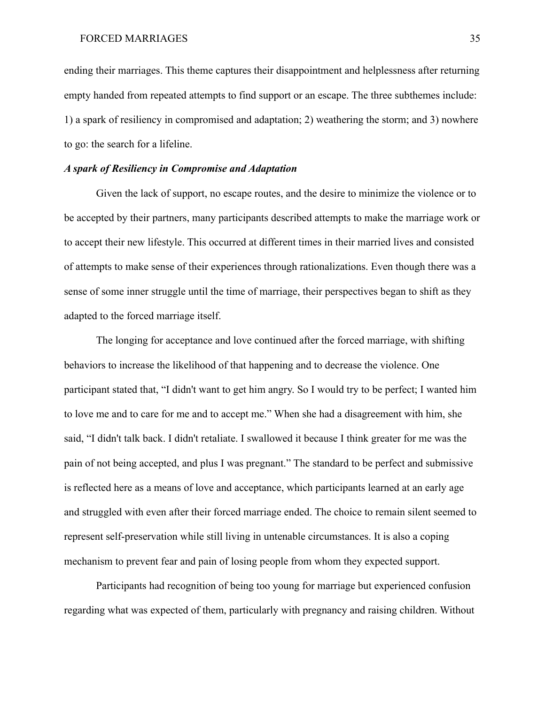ending their marriages. This theme captures their disappointment and helplessness after returning empty handed from repeated attempts to find support or an escape. The three subthemes include: 1) a spark of resiliency in compromised and adaptation; 2) weathering the storm; and 3) nowhere to go: the search for a lifeline.

## *A spark of Resiliency in Compromise and Adaptation*

Given the lack of support, no escape routes, and the desire to minimize the violence or to be accepted by their partners, many participants described attempts to make the marriage work or to accept their new lifestyle. This occurred at different times in their married lives and consisted of attempts to make sense of their experiences through rationalizations. Even though there was a sense of some inner struggle until the time of marriage, their perspectives began to shift as they adapted to the forced marriage itself.

The longing for acceptance and love continued after the forced marriage, with shifting behaviors to increase the likelihood of that happening and to decrease the violence. One participant stated that, "I didn't want to get him angry. So I would try to be perfect; I wanted him to love me and to care for me and to accept me." When she had a disagreement with him, she said, "I didn't talk back. I didn't retaliate. I swallowed it because I think greater for me was the pain of not being accepted, and plus I was pregnant." The standard to be perfect and submissive is reflected here as a means of love and acceptance, which participants learned at an early age and struggled with even after their forced marriage ended. The choice to remain silent seemed to represent self-preservation while still living in untenable circumstances. It is also a coping mechanism to prevent fear and pain of losing people from whom they expected support.

Participants had recognition of being too young for marriage but experienced confusion regarding what was expected of them, particularly with pregnancy and raising children. Without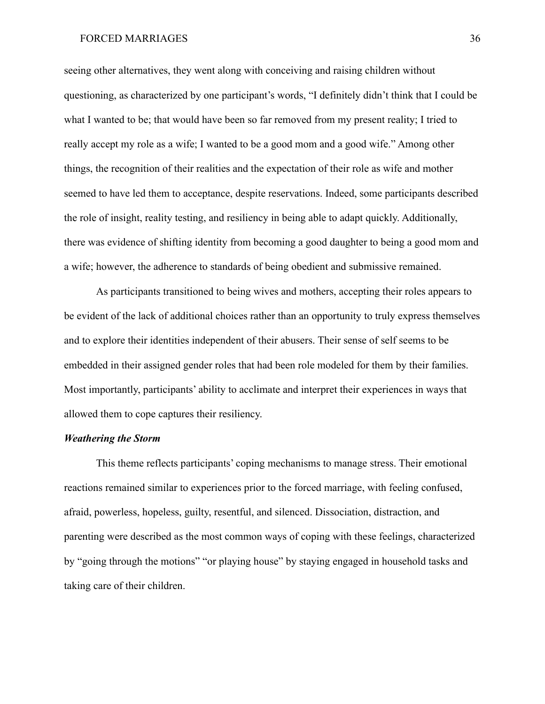seeing other alternatives, they went along with conceiving and raising children without questioning, as characterized by one participant's words, "I definitely didn't think that I could be what I wanted to be; that would have been so far removed from my present reality; I tried to really accept my role as a wife; I wanted to be a good mom and a good wife." Among other things, the recognition of their realities and the expectation of their role as wife and mother seemed to have led them to acceptance, despite reservations. Indeed, some participants described the role of insight, reality testing, and resiliency in being able to adapt quickly. Additionally, there was evidence of shifting identity from becoming a good daughter to being a good mom and a wife; however, the adherence to standards of being obedient and submissive remained.

As participants transitioned to being wives and mothers, accepting their roles appears to be evident of the lack of additional choices rather than an opportunity to truly express themselves and to explore their identities independent of their abusers. Their sense of self seems to be embedded in their assigned gender roles that had been role modeled for them by their families. Most importantly, participants' ability to acclimate and interpret their experiences in ways that allowed them to cope captures their resiliency.

## *Weathering the Storm*

This theme reflects participants' coping mechanisms to manage stress. Their emotional reactions remained similar to experiences prior to the forced marriage, with feeling confused, afraid, powerless, hopeless, guilty, resentful, and silenced. Dissociation, distraction, and parenting were described as the most common ways of coping with these feelings, characterized by "going through the motions" "or playing house" by staying engaged in household tasks and taking care of their children.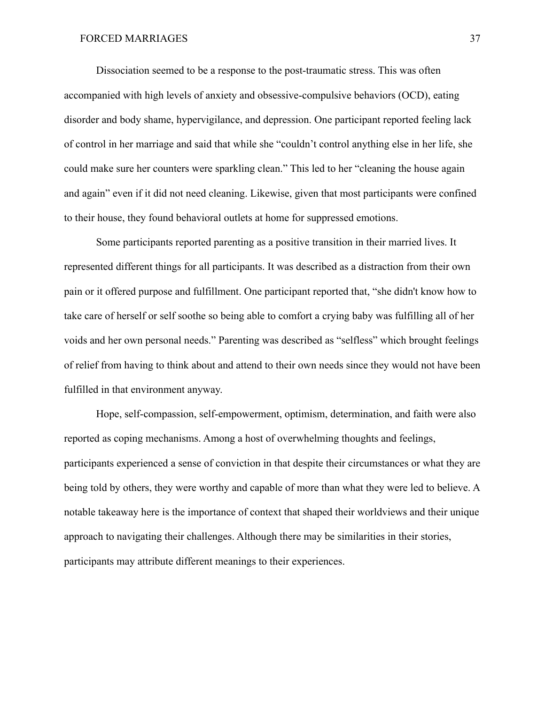Dissociation seemed to be a response to the post-traumatic stress. This was often accompanied with high levels of anxiety and obsessive-compulsive behaviors (OCD), eating disorder and body shame, hypervigilance, and depression. One participant reported feeling lack of control in her marriage and said that while she "couldn't control anything else in her life, she could make sure her counters were sparkling clean." This led to her "cleaning the house again and again" even if it did not need cleaning. Likewise, given that most participants were confined to their house, they found behavioral outlets at home for suppressed emotions.

Some participants reported parenting as a positive transition in their married lives. It represented different things for all participants. It was described as a distraction from their own pain or it offered purpose and fulfillment. One participant reported that, "she didn't know how to take care of herself or self soothe so being able to comfort a crying baby was fulfilling all of her voids and her own personal needs." Parenting was described as "selfless" which brought feelings of relief from having to think about and attend to their own needs since they would not have been fulfilled in that environment anyway.

Hope, self-compassion, self-empowerment, optimism, determination, and faith were also reported as coping mechanisms. Among a host of overwhelming thoughts and feelings, participants experienced a sense of conviction in that despite their circumstances or what they are being told by others, they were worthy and capable of more than what they were led to believe. A notable takeaway here is the importance of context that shaped their worldviews and their unique approach to navigating their challenges. Although there may be similarities in their stories, participants may attribute different meanings to their experiences.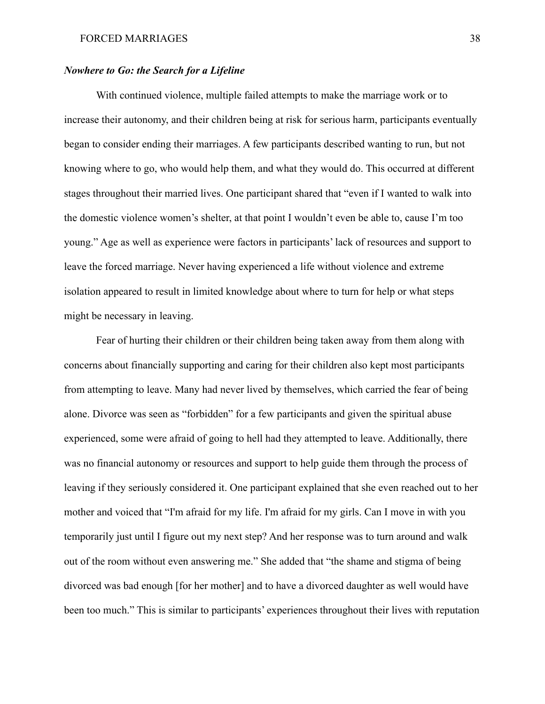# *Nowhere to Go: the Search for a Lifeline*

With continued violence, multiple failed attempts to make the marriage work or to increase their autonomy, and their children being at risk for serious harm, participants eventually began to consider ending their marriages. A few participants described wanting to run, but not knowing where to go, who would help them, and what they would do. This occurred at different stages throughout their married lives. One participant shared that "even if I wanted to walk into the domestic violence women's shelter, at that point I wouldn't even be able to, cause I'm too young." Age as well as experience were factors in participants' lack of resources and support to leave the forced marriage. Never having experienced a life without violence and extreme isolation appeared to result in limited knowledge about where to turn for help or what steps might be necessary in leaving.

Fear of hurting their children or their children being taken away from them along with concerns about financially supporting and caring for their children also kept most participants from attempting to leave. Many had never lived by themselves, which carried the fear of being alone. Divorce was seen as "forbidden" for a few participants and given the spiritual abuse experienced, some were afraid of going to hell had they attempted to leave. Additionally, there was no financial autonomy or resources and support to help guide them through the process of leaving if they seriously considered it. One participant explained that she even reached out to her mother and voiced that "I'm afraid for my life. I'm afraid for my girls. Can I move in with you temporarily just until I figure out my next step? And her response was to turn around and walk out of the room without even answering me." She added that "the shame and stigma of being divorced was bad enough [for her mother] and to have a divorced daughter as well would have been too much." This is similar to participants' experiences throughout their lives with reputation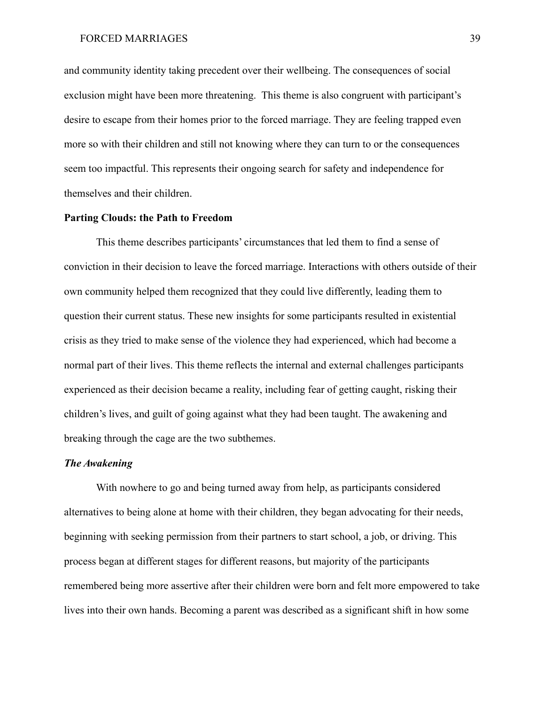and community identity taking precedent over their wellbeing. The consequences of social exclusion might have been more threatening. This theme is also congruent with participant's desire to escape from their homes prior to the forced marriage. They are feeling trapped even more so with their children and still not knowing where they can turn to or the consequences seem too impactful. This represents their ongoing search for safety and independence for themselves and their children.

## **Parting Clouds: the Path to Freedom**

This theme describes participants' circumstances that led them to find a sense of conviction in their decision to leave the forced marriage. Interactions with others outside of their own community helped them recognized that they could live differently, leading them to question their current status. These new insights for some participants resulted in existential crisis as they tried to make sense of the violence they had experienced, which had become a normal part of their lives. This theme reflects the internal and external challenges participants experienced as their decision became a reality, including fear of getting caught, risking their children's lives, and guilt of going against what they had been taught. The awakening and breaking through the cage are the two subthemes.

# *The Awakening*

With nowhere to go and being turned away from help, as participants considered alternatives to being alone at home with their children, they began advocating for their needs, beginning with seeking permission from their partners to start school, a job, or driving. This process began at different stages for different reasons, but majority of the participants remembered being more assertive after their children were born and felt more empowered to take lives into their own hands. Becoming a parent was described as a significant shift in how some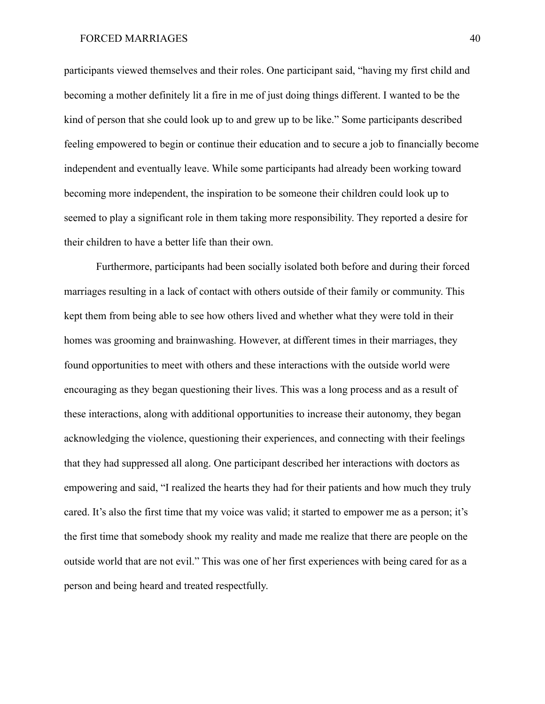participants viewed themselves and their roles. One participant said, "having my first child and becoming a mother definitely lit a fire in me of just doing things different. I wanted to be the kind of person that she could look up to and grew up to be like." Some participants described feeling empowered to begin or continue their education and to secure a job to financially become independent and eventually leave. While some participants had already been working toward becoming more independent, the inspiration to be someone their children could look up to seemed to play a significant role in them taking more responsibility. They reported a desire for their children to have a better life than their own.

Furthermore, participants had been socially isolated both before and during their forced marriages resulting in a lack of contact with others outside of their family or community. This kept them from being able to see how others lived and whether what they were told in their homes was grooming and brainwashing. However, at different times in their marriages, they found opportunities to meet with others and these interactions with the outside world were encouraging as they began questioning their lives. This was a long process and as a result of these interactions, along with additional opportunities to increase their autonomy, they began acknowledging the violence, questioning their experiences, and connecting with their feelings that they had suppressed all along. One participant described her interactions with doctors as empowering and said, "I realized the hearts they had for their patients and how much they truly cared. It's also the first time that my voice was valid; it started to empower me as a person; it's the first time that somebody shook my reality and made me realize that there are people on the outside world that are not evil." This was one of her first experiences with being cared for as a person and being heard and treated respectfully.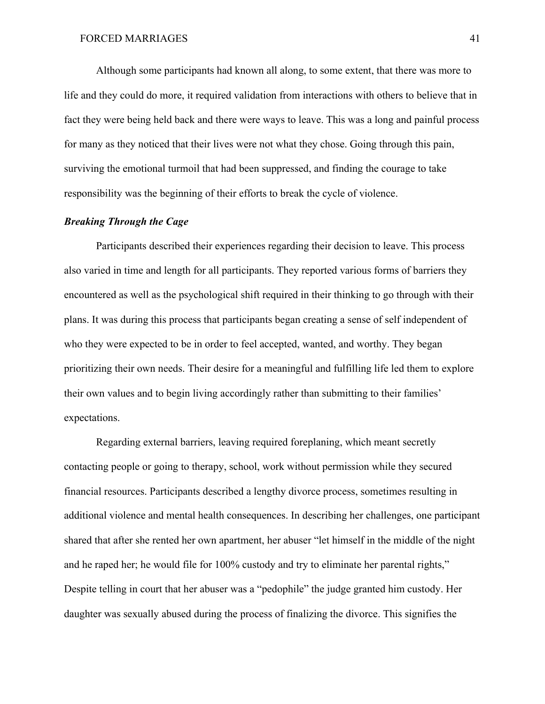Although some participants had known all along, to some extent, that there was more to life and they could do more, it required validation from interactions with others to believe that in fact they were being held back and there were ways to leave. This was a long and painful process for many as they noticed that their lives were not what they chose. Going through this pain, surviving the emotional turmoil that had been suppressed, and finding the courage to take responsibility was the beginning of their efforts to break the cycle of violence.

# *Breaking Through the Cage*

Participants described their experiences regarding their decision to leave. This process also varied in time and length for all participants. They reported various forms of barriers they encountered as well as the psychological shift required in their thinking to go through with their plans. It was during this process that participants began creating a sense of self independent of who they were expected to be in order to feel accepted, wanted, and worthy. They began prioritizing their own needs. Their desire for a meaningful and fulfilling life led them to explore their own values and to begin living accordingly rather than submitting to their families' expectations.

Regarding external barriers, leaving required foreplaning, which meant secretly contacting people or going to therapy, school, work without permission while they secured financial resources. Participants described a lengthy divorce process, sometimes resulting in additional violence and mental health consequences. In describing her challenges, one participant shared that after she rented her own apartment, her abuser "let himself in the middle of the night and he raped her; he would file for 100% custody and try to eliminate her parental rights," Despite telling in court that her abuser was a "pedophile" the judge granted him custody. Her daughter was sexually abused during the process of finalizing the divorce. This signifies the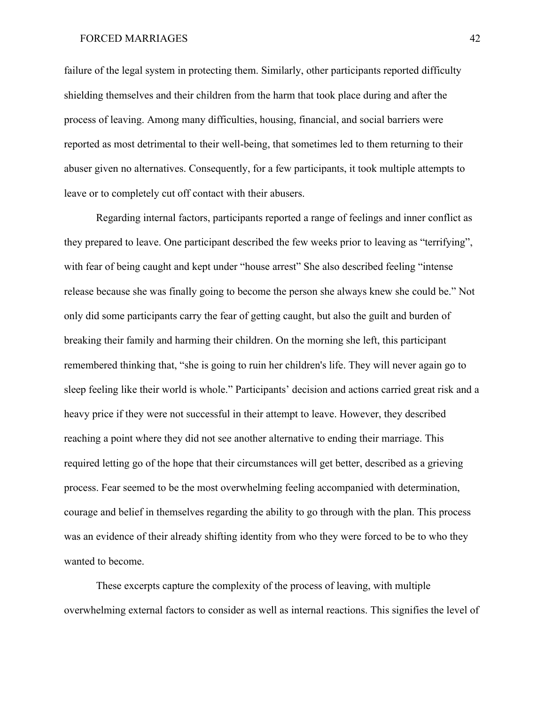failure of the legal system in protecting them. Similarly, other participants reported difficulty shielding themselves and their children from the harm that took place during and after the process of leaving. Among many difficulties, housing, financial, and social barriers were reported as most detrimental to their well-being, that sometimes led to them returning to their abuser given no alternatives. Consequently, for a few participants, it took multiple attempts to leave or to completely cut off contact with their abusers.

Regarding internal factors, participants reported a range of feelings and inner conflict as they prepared to leave. One participant described the few weeks prior to leaving as "terrifying", with fear of being caught and kept under "house arrest" She also described feeling "intense release because she was finally going to become the person she always knew she could be." Not only did some participants carry the fear of getting caught, but also the guilt and burden of breaking their family and harming their children. On the morning she left, this participant remembered thinking that, "she is going to ruin her children's life. They will never again go to sleep feeling like their world is whole." Participants' decision and actions carried great risk and a heavy price if they were not successful in their attempt to leave. However, they described reaching a point where they did not see another alternative to ending their marriage. This required letting go of the hope that their circumstances will get better, described as a grieving process. Fear seemed to be the most overwhelming feeling accompanied with determination, courage and belief in themselves regarding the ability to go through with the plan. This process was an evidence of their already shifting identity from who they were forced to be to who they wanted to become.

These excerpts capture the complexity of the process of leaving, with multiple overwhelming external factors to consider as well as internal reactions. This signifies the level of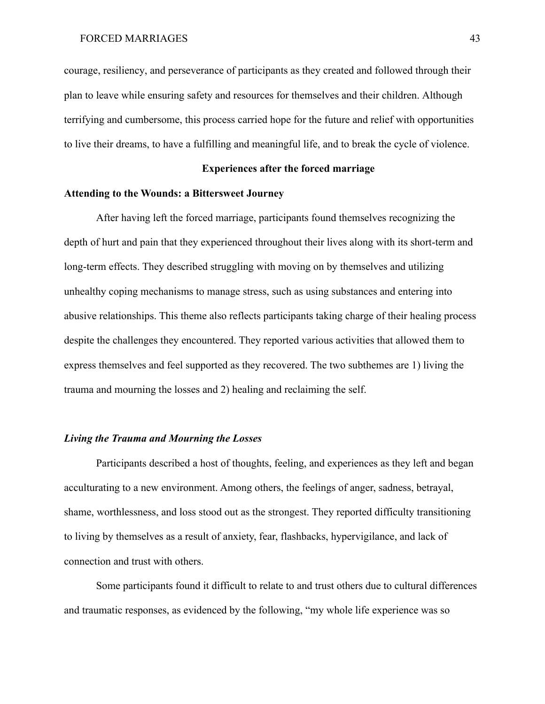courage, resiliency, and perseverance of participants as they created and followed through their plan to leave while ensuring safety and resources for themselves and their children. Although terrifying and cumbersome, this process carried hope for the future and relief with opportunities to live their dreams, to have a fulfilling and meaningful life, and to break the cycle of violence.

# **Experiences after the forced marriage**

### **Attending to the Wounds: a Bittersweet Journey**

After having left the forced marriage, participants found themselves recognizing the depth of hurt and pain that they experienced throughout their lives along with its short-term and long-term effects. They described struggling with moving on by themselves and utilizing unhealthy coping mechanisms to manage stress, such as using substances and entering into abusive relationships. This theme also reflects participants taking charge of their healing process despite the challenges they encountered. They reported various activities that allowed them to express themselves and feel supported as they recovered. The two subthemes are 1) living the trauma and mourning the losses and 2) healing and reclaiming the self.

# *Living the Trauma and Mourning the Losses*

Participants described a host of thoughts, feeling, and experiences as they left and began acculturating to a new environment. Among others, the feelings of anger, sadness, betrayal, shame, worthlessness, and loss stood out as the strongest. They reported difficulty transitioning to living by themselves as a result of anxiety, fear, flashbacks, hypervigilance, and lack of connection and trust with others.

Some participants found it difficult to relate to and trust others due to cultural differences and traumatic responses, as evidenced by the following, "my whole life experience was so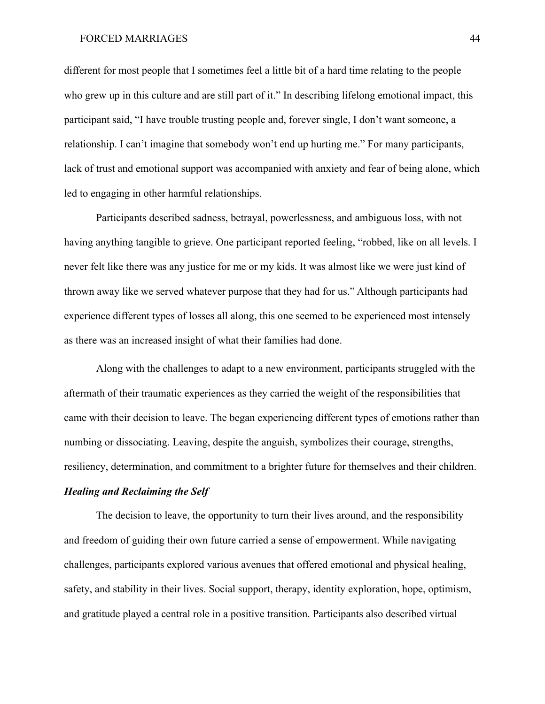different for most people that I sometimes feel a little bit of a hard time relating to the people who grew up in this culture and are still part of it." In describing lifelong emotional impact, this participant said, "I have trouble trusting people and, forever single, I don't want someone, a relationship. I can't imagine that somebody won't end up hurting me." For many participants, lack of trust and emotional support was accompanied with anxiety and fear of being alone, which led to engaging in other harmful relationships.

Participants described sadness, betrayal, powerlessness, and ambiguous loss, with not having anything tangible to grieve. One participant reported feeling, "robbed, like on all levels. I never felt like there was any justice for me or my kids. It was almost like we were just kind of thrown away like we served whatever purpose that they had for us." Although participants had experience different types of losses all along, this one seemed to be experienced most intensely as there was an increased insight of what their families had done.

Along with the challenges to adapt to a new environment, participants struggled with the aftermath of their traumatic experiences as they carried the weight of the responsibilities that came with their decision to leave. The began experiencing different types of emotions rather than numbing or dissociating. Leaving, despite the anguish, symbolizes their courage, strengths, resiliency, determination, and commitment to a brighter future for themselves and their children.

# *Healing and Reclaiming the Self*

The decision to leave, the opportunity to turn their lives around, and the responsibility and freedom of guiding their own future carried a sense of empowerment. While navigating challenges, participants explored various avenues that offered emotional and physical healing, safety, and stability in their lives. Social support, therapy, identity exploration, hope, optimism, and gratitude played a central role in a positive transition. Participants also described virtual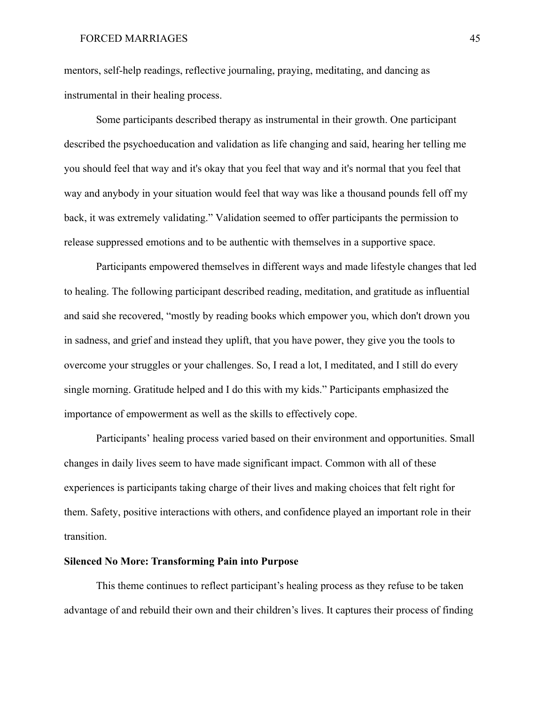mentors, self-help readings, reflective journaling, praying, meditating, and dancing as instrumental in their healing process.

Some participants described therapy as instrumental in their growth. One participant described the psychoeducation and validation as life changing and said, hearing her telling me you should feel that way and it's okay that you feel that way and it's normal that you feel that way and anybody in your situation would feel that way was like a thousand pounds fell off my back, it was extremely validating." Validation seemed to offer participants the permission to release suppressed emotions and to be authentic with themselves in a supportive space.

Participants empowered themselves in different ways and made lifestyle changes that led to healing. The following participant described reading, meditation, and gratitude as influential and said she recovered, "mostly by reading books which empower you, which don't drown you in sadness, and grief and instead they uplift, that you have power, they give you the tools to overcome your struggles or your challenges. So, I read a lot, I meditated, and I still do every single morning. Gratitude helped and I do this with my kids." Participants emphasized the importance of empowerment as well as the skills to effectively cope.

Participants' healing process varied based on their environment and opportunities. Small changes in daily lives seem to have made significant impact. Common with all of these experiences is participants taking charge of their lives and making choices that felt right for them. Safety, positive interactions with others, and confidence played an important role in their transition.

# **Silenced No More: Transforming Pain into Purpose**

This theme continues to reflect participant's healing process as they refuse to be taken advantage of and rebuild their own and their children's lives. It captures their process of finding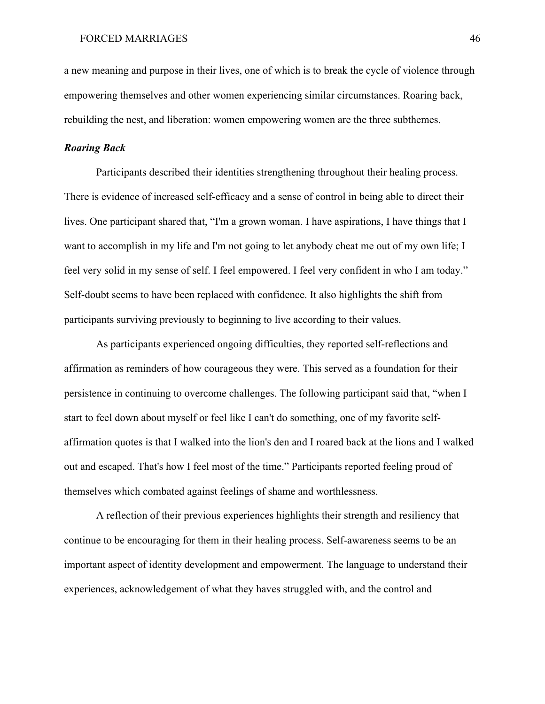a new meaning and purpose in their lives, one of which is to break the cycle of violence through empowering themselves and other women experiencing similar circumstances. Roaring back, rebuilding the nest, and liberation: women empowering women are the three subthemes.

### *Roaring Back*

Participants described their identities strengthening throughout their healing process. There is evidence of increased self-efficacy and a sense of control in being able to direct their lives. One participant shared that, "I'm a grown woman. I have aspirations, I have things that I want to accomplish in my life and I'm not going to let anybody cheat me out of my own life; I feel very solid in my sense of self. I feel empowered. I feel very confident in who I am today." Self-doubt seems to have been replaced with confidence. It also highlights the shift from participants surviving previously to beginning to live according to their values.

As participants experienced ongoing difficulties, they reported self-reflections and affirmation as reminders of how courageous they were. This served as a foundation for their persistence in continuing to overcome challenges. The following participant said that, "when I start to feel down about myself or feel like I can't do something, one of my favorite selfaffirmation quotes is that I walked into the lion's den and I roared back at the lions and I walked out and escaped. That's how I feel most of the time." Participants reported feeling proud of themselves which combated against feelings of shame and worthlessness.

A reflection of their previous experiences highlights their strength and resiliency that continue to be encouraging for them in their healing process. Self-awareness seems to be an important aspect of identity development and empowerment. The language to understand their experiences, acknowledgement of what they haves struggled with, and the control and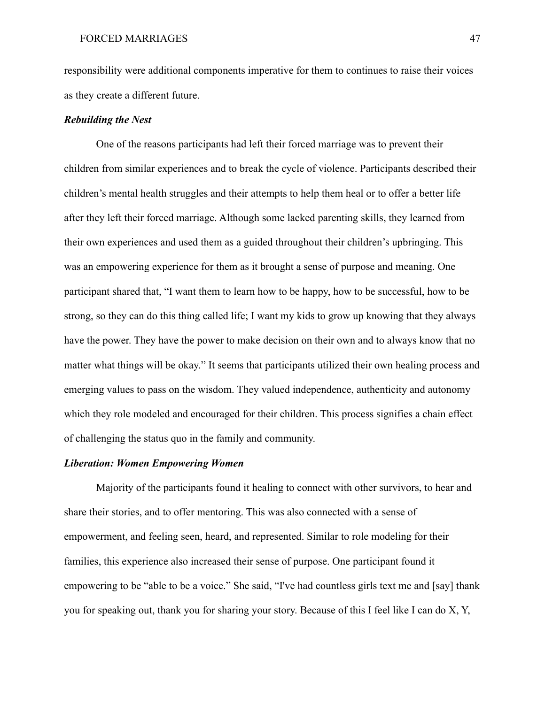responsibility were additional components imperative for them to continues to raise their voices as they create a different future.

# *Rebuilding the Nest*

One of the reasons participants had left their forced marriage was to prevent their children from similar experiences and to break the cycle of violence. Participants described their children's mental health struggles and their attempts to help them heal or to offer a better life after they left their forced marriage. Although some lacked parenting skills, they learned from their own experiences and used them as a guided throughout their children's upbringing. This was an empowering experience for them as it brought a sense of purpose and meaning. One participant shared that, "I want them to learn how to be happy, how to be successful, how to be strong, so they can do this thing called life; I want my kids to grow up knowing that they always have the power. They have the power to make decision on their own and to always know that no matter what things will be okay." It seems that participants utilized their own healing process and emerging values to pass on the wisdom. They valued independence, authenticity and autonomy which they role modeled and encouraged for their children. This process signifies a chain effect of challenging the status quo in the family and community.

# *Liberation: Women Empowering Women*

Majority of the participants found it healing to connect with other survivors, to hear and share their stories, and to offer mentoring. This was also connected with a sense of empowerment, and feeling seen, heard, and represented. Similar to role modeling for their families, this experience also increased their sense of purpose. One participant found it empowering to be "able to be a voice." She said, "I've had countless girls text me and [say] thank you for speaking out, thank you for sharing your story. Because of this I feel like I can do X, Y,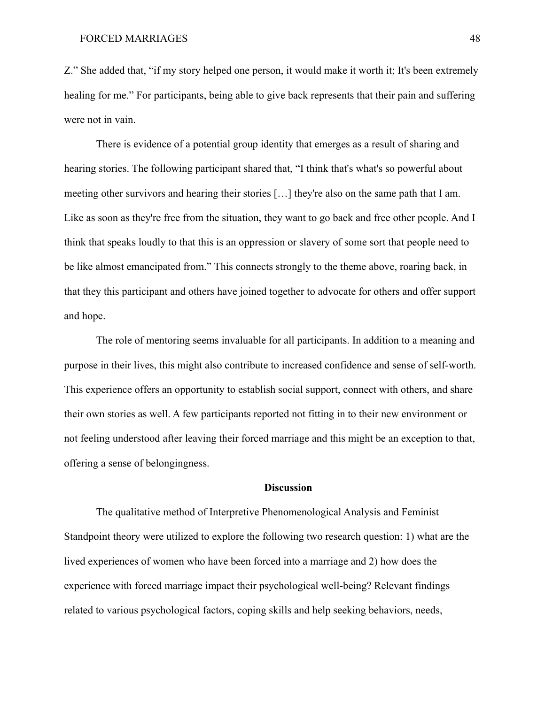Z." She added that, "if my story helped one person, it would make it worth it; It's been extremely healing for me." For participants, being able to give back represents that their pain and suffering were not in vain.

There is evidence of a potential group identity that emerges as a result of sharing and hearing stories. The following participant shared that, "I think that's what's so powerful about meeting other survivors and hearing their stories […] they're also on the same path that I am. Like as soon as they're free from the situation, they want to go back and free other people. And I think that speaks loudly to that this is an oppression or slavery of some sort that people need to be like almost emancipated from." This connects strongly to the theme above, roaring back, in that they this participant and others have joined together to advocate for others and offer support and hope.

The role of mentoring seems invaluable for all participants. In addition to a meaning and purpose in their lives, this might also contribute to increased confidence and sense of self-worth. This experience offers an opportunity to establish social support, connect with others, and share their own stories as well. A few participants reported not fitting in to their new environment or not feeling understood after leaving their forced marriage and this might be an exception to that, offering a sense of belongingness.

### **Discussion**

The qualitative method of Interpretive Phenomenological Analysis and Feminist Standpoint theory were utilized to explore the following two research question: 1) what are the lived experiences of women who have been forced into a marriage and 2) how does the experience with forced marriage impact their psychological well-being? Relevant findings related to various psychological factors, coping skills and help seeking behaviors, needs,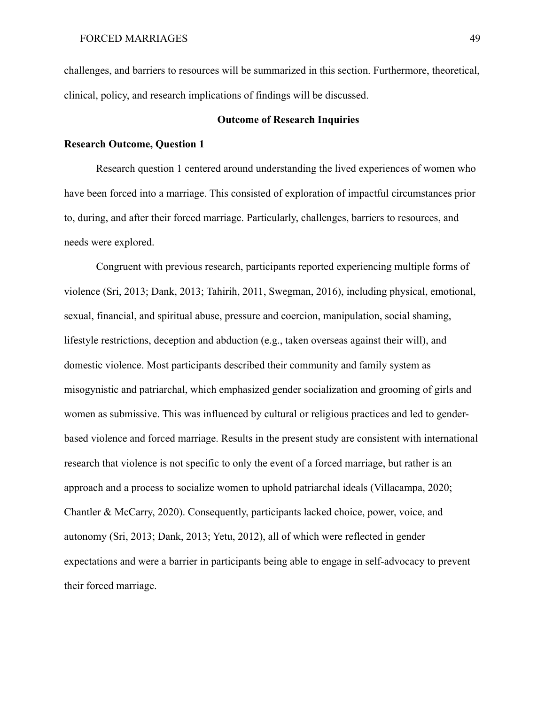challenges, and barriers to resources will be summarized in this section. Furthermore, theoretical, clinical, policy, and research implications of findings will be discussed.

# **Outcome of Research Inquiries**

# **Research Outcome, Question 1**

Research question 1 centered around understanding the lived experiences of women who have been forced into a marriage. This consisted of exploration of impactful circumstances prior to, during, and after their forced marriage. Particularly, challenges, barriers to resources, and needs were explored.

Congruent with previous research, participants reported experiencing multiple forms of violence (Sri, 2013; Dank, 2013; Tahirih, 2011, Swegman, 2016), including physical, emotional, sexual, financial, and spiritual abuse, pressure and coercion, manipulation, social shaming, lifestyle restrictions, deception and abduction (e.g., taken overseas against their will), and domestic violence. Most participants described their community and family system as misogynistic and patriarchal, which emphasized gender socialization and grooming of girls and women as submissive. This was influenced by cultural or religious practices and led to genderbased violence and forced marriage. Results in the present study are consistent with international research that violence is not specific to only the event of a forced marriage, but rather is an approach and a process to socialize women to uphold patriarchal ideals (Villacampa, 2020; Chantler & McCarry, 2020). Consequently, participants lacked choice, power, voice, and autonomy (Sri, 2013; Dank, 2013; Yetu, 2012), all of which were reflected in gender expectations and were a barrier in participants being able to engage in self-advocacy to prevent their forced marriage.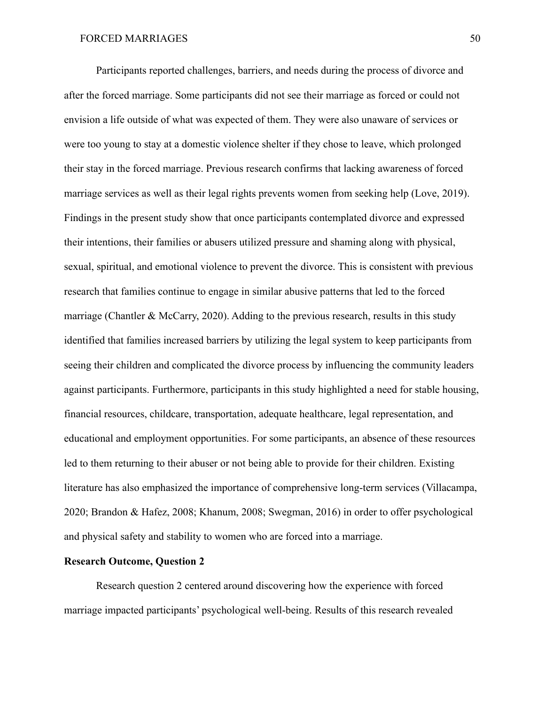Participants reported challenges, barriers, and needs during the process of divorce and after the forced marriage. Some participants did not see their marriage as forced or could not envision a life outside of what was expected of them. They were also unaware of services or were too young to stay at a domestic violence shelter if they chose to leave, which prolonged their stay in the forced marriage. Previous research confirms that lacking awareness of forced marriage services as well as their legal rights prevents women from seeking help (Love, 2019). Findings in the present study show that once participants contemplated divorce and expressed their intentions, their families or abusers utilized pressure and shaming along with physical, sexual, spiritual, and emotional violence to prevent the divorce. This is consistent with previous research that families continue to engage in similar abusive patterns that led to the forced marriage (Chantler & McCarry, 2020). Adding to the previous research, results in this study identified that families increased barriers by utilizing the legal system to keep participants from seeing their children and complicated the divorce process by influencing the community leaders against participants. Furthermore, participants in this study highlighted a need for stable housing, financial resources, childcare, transportation, adequate healthcare, legal representation, and educational and employment opportunities. For some participants, an absence of these resources led to them returning to their abuser or not being able to provide for their children. Existing literature has also emphasized the importance of comprehensive long-term services (Villacampa, 2020; Brandon & Hafez, 2008; Khanum, 2008; Swegman, 2016) in order to offer psychological and physical safety and stability to women who are forced into a marriage.

## **Research Outcome, Question 2**

Research question 2 centered around discovering how the experience with forced marriage impacted participants' psychological well-being. Results of this research revealed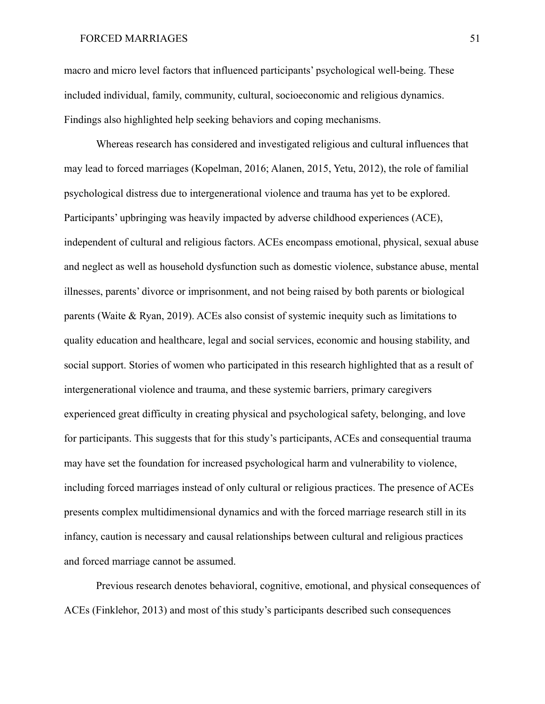macro and micro level factors that influenced participants' psychological well-being. These included individual, family, community, cultural, socioeconomic and religious dynamics. Findings also highlighted help seeking behaviors and coping mechanisms.

Whereas research has considered and investigated religious and cultural influences that may lead to forced marriages (Kopelman, 2016; Alanen, 2015, Yetu, 2012), the role of familial psychological distress due to intergenerational violence and trauma has yet to be explored. Participants' upbringing was heavily impacted by adverse childhood experiences (ACE), independent of cultural and religious factors. ACEs encompass emotional, physical, sexual abuse and neglect as well as household dysfunction such as domestic violence, substance abuse, mental illnesses, parents' divorce or imprisonment, and not being raised by both parents or biological parents (Waite & Ryan, 2019). ACEs also consist of systemic inequity such as limitations to quality education and healthcare, legal and social services, economic and housing stability, and social support. Stories of women who participated in this research highlighted that as a result of intergenerational violence and trauma, and these systemic barriers, primary caregivers experienced great difficulty in creating physical and psychological safety, belonging, and love for participants. This suggests that for this study's participants, ACEs and consequential trauma may have set the foundation for increased psychological harm and vulnerability to violence, including forced marriages instead of only cultural or religious practices. The presence of ACEs presents complex multidimensional dynamics and with the forced marriage research still in its infancy, caution is necessary and causal relationships between cultural and religious practices and forced marriage cannot be assumed.

Previous research denotes behavioral, cognitive, emotional, and physical consequences of ACEs (Finklehor, 2013) and most of this study's participants described such consequences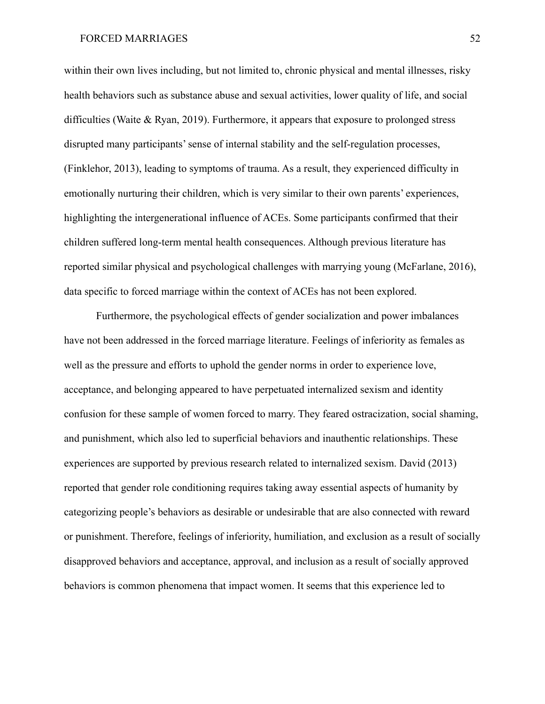within their own lives including, but not limited to, chronic physical and mental illnesses, risky health behaviors such as substance abuse and sexual activities, lower quality of life, and social difficulties (Waite & Ryan, 2019). Furthermore, it appears that exposure to prolonged stress disrupted many participants' sense of internal stability and the self-regulation processes, (Finklehor, 2013), leading to symptoms of trauma. As a result, they experienced difficulty in emotionally nurturing their children, which is very similar to their own parents' experiences, highlighting the intergenerational influence of ACEs. Some participants confirmed that their children suffered long-term mental health consequences. Although previous literature has reported similar physical and psychological challenges with marrying young (McFarlane, 2016), data specific to forced marriage within the context of ACEs has not been explored.

Furthermore, the psychological effects of gender socialization and power imbalances have not been addressed in the forced marriage literature. Feelings of inferiority as females as well as the pressure and efforts to uphold the gender norms in order to experience love, acceptance, and belonging appeared to have perpetuated internalized sexism and identity confusion for these sample of women forced to marry. They feared ostracization, social shaming, and punishment, which also led to superficial behaviors and inauthentic relationships. These experiences are supported by previous research related to internalized sexism. David (2013) reported that gender role conditioning requires taking away essential aspects of humanity by categorizing people's behaviors as desirable or undesirable that are also connected with reward or punishment. Therefore, feelings of inferiority, humiliation, and exclusion as a result of socially disapproved behaviors and acceptance, approval, and inclusion as a result of socially approved behaviors is common phenomena that impact women. It seems that this experience led to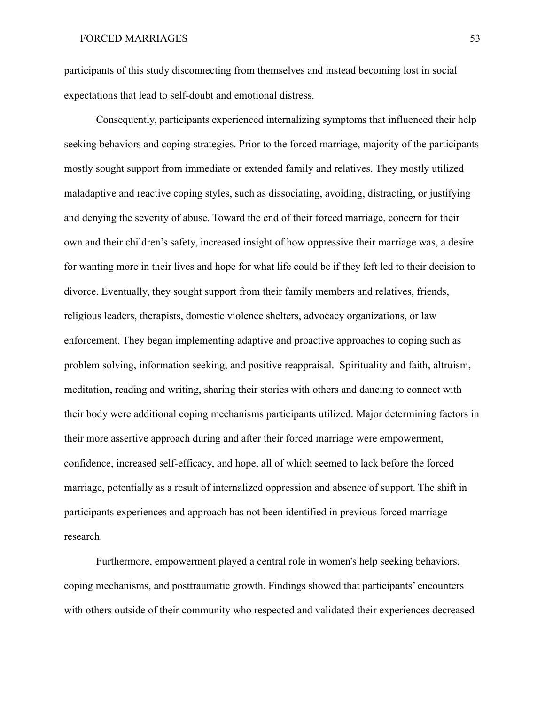participants of this study disconnecting from themselves and instead becoming lost in social expectations that lead to self-doubt and emotional distress.

Consequently, participants experienced internalizing symptoms that influenced their help seeking behaviors and coping strategies. Prior to the forced marriage, majority of the participants mostly sought support from immediate or extended family and relatives. They mostly utilized maladaptive and reactive coping styles, such as dissociating, avoiding, distracting, or justifying and denying the severity of abuse. Toward the end of their forced marriage, concern for their own and their children's safety, increased insight of how oppressive their marriage was, a desire for wanting more in their lives and hope for what life could be if they left led to their decision to divorce. Eventually, they sought support from their family members and relatives, friends, religious leaders, therapists, domestic violence shelters, advocacy organizations, or law enforcement. They began implementing adaptive and proactive approaches to coping such as problem solving, information seeking, and positive reappraisal. Spirituality and faith, altruism, meditation, reading and writing, sharing their stories with others and dancing to connect with their body were additional coping mechanisms participants utilized. Major determining factors in their more assertive approach during and after their forced marriage were empowerment, confidence, increased self-efficacy, and hope, all of which seemed to lack before the forced marriage, potentially as a result of internalized oppression and absence of support. The shift in participants experiences and approach has not been identified in previous forced marriage research.

Furthermore, empowerment played a central role in women's help seeking behaviors, coping mechanisms, and posttraumatic growth. Findings showed that participants' encounters with others outside of their community who respected and validated their experiences decreased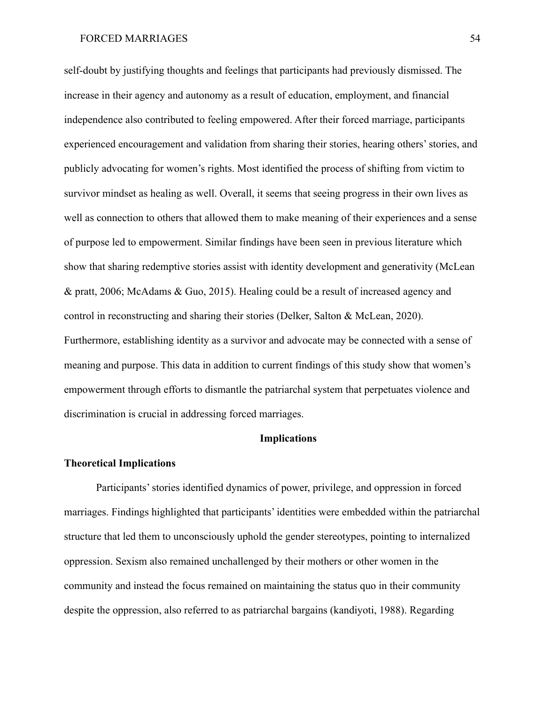self-doubt by justifying thoughts and feelings that participants had previously dismissed. The increase in their agency and autonomy as a result of education, employment, and financial independence also contributed to feeling empowered. After their forced marriage, participants experienced encouragement and validation from sharing their stories, hearing others' stories, and publicly advocating for women's rights. Most identified the process of shifting from victim to survivor mindset as healing as well. Overall, it seems that seeing progress in their own lives as well as connection to others that allowed them to make meaning of their experiences and a sense of purpose led to empowerment. Similar findings have been seen in previous literature which show that sharing redemptive stories assist with identity development and generativity (McLean & pratt, 2006; McAdams & Guo, 2015). Healing could be a result of increased agency and control in reconstructing and sharing their stories (Delker, Salton & McLean, 2020). Furthermore, establishing identity as a survivor and advocate may be connected with a sense of meaning and purpose. This data in addition to current findings of this study show that women's empowerment through efforts to dismantle the patriarchal system that perpetuates violence and discrimination is crucial in addressing forced marriages.

# **Implications**

#### **Theoretical Implications**

Participants' stories identified dynamics of power, privilege, and oppression in forced marriages. Findings highlighted that participants' identities were embedded within the patriarchal structure that led them to unconsciously uphold the gender stereotypes, pointing to internalized oppression. Sexism also remained unchallenged by their mothers or other women in the community and instead the focus remained on maintaining the status quo in their community despite the oppression, also referred to as patriarchal bargains (kandiyoti, 1988). Regarding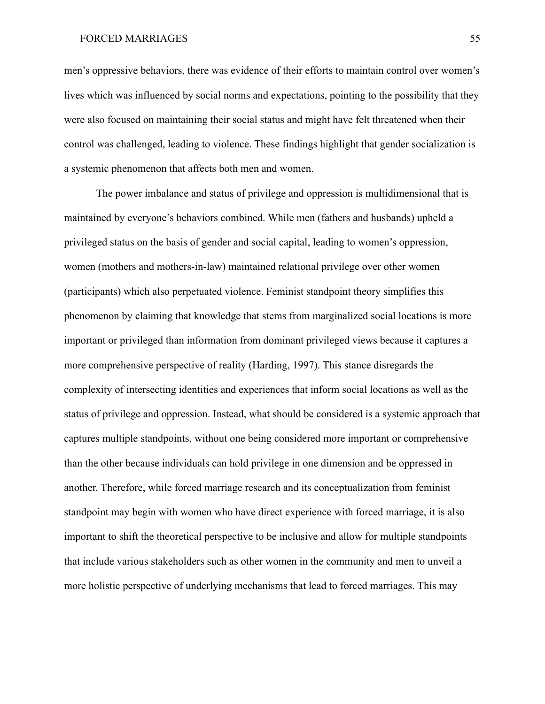men's oppressive behaviors, there was evidence of their efforts to maintain control over women's lives which was influenced by social norms and expectations, pointing to the possibility that they were also focused on maintaining their social status and might have felt threatened when their control was challenged, leading to violence. These findings highlight that gender socialization is a systemic phenomenon that affects both men and women.

The power imbalance and status of privilege and oppression is multidimensional that is maintained by everyone's behaviors combined. While men (fathers and husbands) upheld a privileged status on the basis of gender and social capital, leading to women's oppression, women (mothers and mothers-in-law) maintained relational privilege over other women (participants) which also perpetuated violence. Feminist standpoint theory simplifies this phenomenon by claiming that knowledge that stems from marginalized social locations is more important or privileged than information from dominant privileged views because it captures a more comprehensive perspective of reality (Harding, 1997). This stance disregards the complexity of intersecting identities and experiences that inform social locations as well as the status of privilege and oppression. Instead, what should be considered is a systemic approach that captures multiple standpoints, without one being considered more important or comprehensive than the other because individuals can hold privilege in one dimension and be oppressed in another. Therefore, while forced marriage research and its conceptualization from feminist standpoint may begin with women who have direct experience with forced marriage, it is also important to shift the theoretical perspective to be inclusive and allow for multiple standpoints that include various stakeholders such as other women in the community and men to unveil a more holistic perspective of underlying mechanisms that lead to forced marriages. This may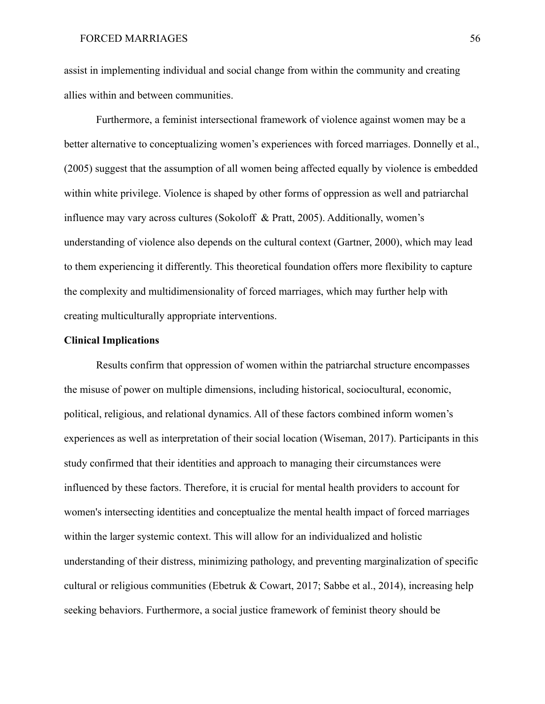assist in implementing individual and social change from within the community and creating allies within and between communities.

Furthermore, a feminist intersectional framework of violence against women may be a better alternative to conceptualizing women's experiences with forced marriages. Donnelly et al., (2005) suggest that the assumption of all women being affected equally by violence is embedded within white privilege. Violence is shaped by other forms of oppression as well and patriarchal influence may vary across cultures (Sokoloff & Pratt, 2005). Additionally, women's understanding of violence also depends on the cultural context (Gartner, 2000), which may lead to them experiencing it differently. This theoretical foundation offers more flexibility to capture the complexity and multidimensionality of forced marriages, which may further help with creating multiculturally appropriate interventions.

# **Clinical Implications**

Results confirm that oppression of women within the patriarchal structure encompasses the misuse of power on multiple dimensions, including historical, sociocultural, economic, political, religious, and relational dynamics. All of these factors combined inform women's experiences as well as interpretation of their social location (Wiseman, 2017). Participants in this study confirmed that their identities and approach to managing their circumstances were influenced by these factors. Therefore, it is crucial for mental health providers to account for women's intersecting identities and conceptualize the mental health impact of forced marriages within the larger systemic context. This will allow for an individualized and holistic understanding of their distress, minimizing pathology, and preventing marginalization of specific cultural or religious communities (Ebetruk & Cowart, 2017; Sabbe et al., 2014), increasing help seeking behaviors. Furthermore, a social justice framework of feminist theory should be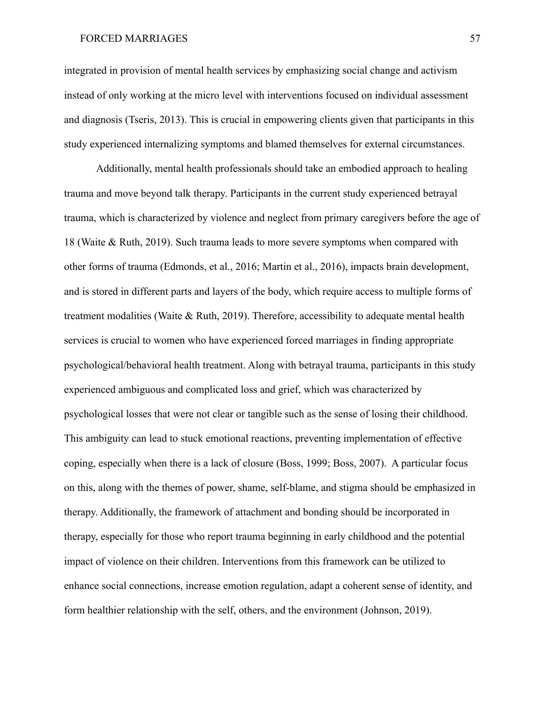integrated in provision of mental health services by emphasizing social change and activism instead of only working at the micro level with interventions focused on individual assessment and diagnosis (Tseris, 2013). This is crucial in empowering clients given that participants in this study experienced internalizing symptoms and blamed themselves for external circumstances.

Additionally, mental health professionals should take an embodied approach to healing trauma and move beyond talk therapy. Participants in the current study experienced betrayal trauma, which is characterized by violence and neglect from primary caregivers before the age of 18 (Waite & Ruth, 2019). Such trauma leads to more severe symptoms when compared with other forms of trauma (Edmonds, et al., 2016; Martin et al., 2016), impacts brain development, and is stored in different parts and layers of the body, which require access to multiple forms of treatment modalities (Waite & Ruth, 2019). Therefore, accessibility to adequate mental health services is crucial to women who have experienced forced marriages in finding appropriate psychological/behavioral health treatment. Along with betrayal trauma, participants in this study experienced ambiguous and complicated loss and grief, which was characterized by psychological losses that were not clear or tangible such as the sense of losing their childhood. This ambiguity can lead to stuck emotional reactions, preventing implementation of effective coping, especially when there is a lack of closure (Boss, 1999; Boss, 2007). A particular focus on this, along with the themes of power, shame, self-blame, and stigma should be emphasized in therapy. Additionally, the framework of attachment and bonding should be incorporated in therapy, especially for those who report trauma beginning in early childhood and the potential impact of violence on their children. Interventions from this framework can be utilized to enhance social connections, increase emotion regulation, adapt a coherent sense of identity, and form healthier relationship with the self, others, and the environment (Johnson, 2019).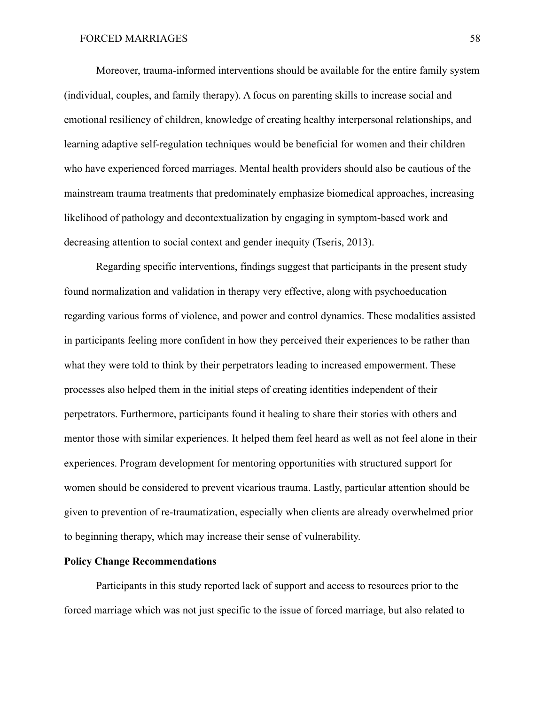Moreover, trauma-informed interventions should be available for the entire family system (individual, couples, and family therapy). A focus on parenting skills to increase social and emotional resiliency of children, knowledge of creating healthy interpersonal relationships, and learning adaptive self-regulation techniques would be beneficial for women and their children who have experienced forced marriages. Mental health providers should also be cautious of the mainstream trauma treatments that predominately emphasize biomedical approaches, increasing likelihood of pathology and decontextualization by engaging in symptom-based work and decreasing attention to social context and gender inequity (Tseris, 2013).

Regarding specific interventions, findings suggest that participants in the present study found normalization and validation in therapy very effective, along with psychoeducation regarding various forms of violence, and power and control dynamics. These modalities assisted in participants feeling more confident in how they perceived their experiences to be rather than what they were told to think by their perpetrators leading to increased empowerment. These processes also helped them in the initial steps of creating identities independent of their perpetrators. Furthermore, participants found it healing to share their stories with others and mentor those with similar experiences. It helped them feel heard as well as not feel alone in their experiences. Program development for mentoring opportunities with structured support for women should be considered to prevent vicarious trauma. Lastly, particular attention should be given to prevention of re-traumatization, especially when clients are already overwhelmed prior to beginning therapy, which may increase their sense of vulnerability.

## **Policy Change Recommendations**

Participants in this study reported lack of support and access to resources prior to the forced marriage which was not just specific to the issue of forced marriage, but also related to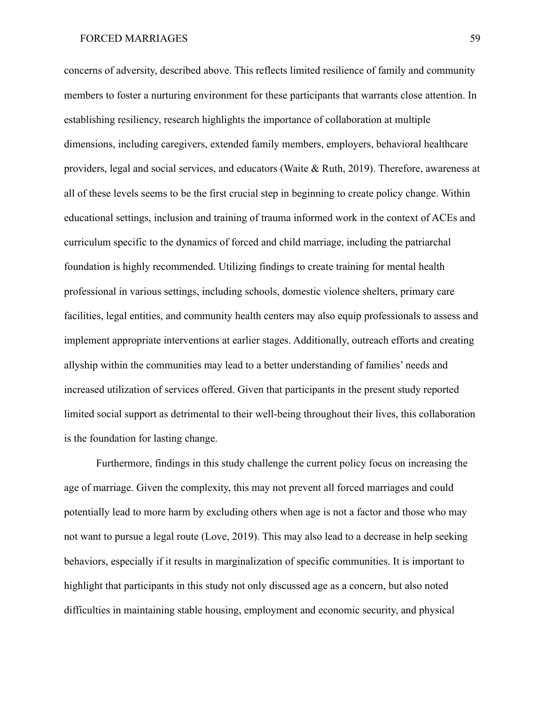concerns of adversity, described above. This reflects limited resilience of family and community members to foster a nurturing environment for these participants that warrants close attention. In establishing resiliency, research highlights the importance of collaboration at multiple dimensions, including caregivers, extended family members, employers, behavioral healthcare providers, legal and social services, and educators (Waite & Ruth, 2019). Therefore, awareness at all of these levels seems to be the first crucial step in beginning to create policy change. Within educational settings, inclusion and training of trauma informed work in the context of ACEs and curriculum specific to the dynamics of forced and child marriage, including the patriarchal foundation is highly recommended. Utilizing findings to create training for mental health professional in various settings, including schools, domestic violence shelters, primary care facilities, legal entities, and community health centers may also equip professionals to assess and implement appropriate interventions at earlier stages. Additionally, outreach efforts and creating allyship within the communities may lead to a better understanding of families' needs and increased utilization of services offered. Given that participants in the present study reported limited social support as detrimental to their well-being throughout their lives, this collaboration is the foundation for lasting change.

Furthermore, findings in this study challenge the current policy focus on increasing the age of marriage. Given the complexity, this may not prevent all forced marriages and could potentially lead to more harm by excluding others when age is not a factor and those who may not want to pursue a legal route (Love, 2019). This may also lead to a decrease in help seeking behaviors, especially if it results in marginalization of specific communities. It is important to highlight that participants in this study not only discussed age as a concern, but also noted difficulties in maintaining stable housing, employment and economic security, and physical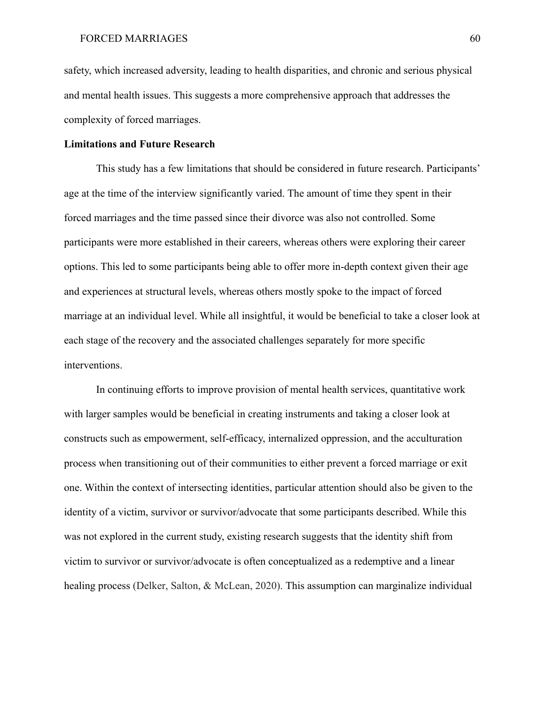safety, which increased adversity, leading to health disparities, and chronic and serious physical and mental health issues. This suggests a more comprehensive approach that addresses the complexity of forced marriages.

### **Limitations and Future Research**

This study has a few limitations that should be considered in future research. Participants' age at the time of the interview significantly varied. The amount of time they spent in their forced marriages and the time passed since their divorce was also not controlled. Some participants were more established in their careers, whereas others were exploring their career options. This led to some participants being able to offer more in-depth context given their age and experiences at structural levels, whereas others mostly spoke to the impact of forced marriage at an individual level. While all insightful, it would be beneficial to take a closer look at each stage of the recovery and the associated challenges separately for more specific interventions.

In continuing efforts to improve provision of mental health services, quantitative work with larger samples would be beneficial in creating instruments and taking a closer look at constructs such as empowerment, self-efficacy, internalized oppression, and the acculturation process when transitioning out of their communities to either prevent a forced marriage or exit one. Within the context of intersecting identities, particular attention should also be given to the identity of a victim, survivor or survivor/advocate that some participants described. While this was not explored in the current study, existing research suggests that the identity shift from victim to survivor or survivor/advocate is often conceptualized as a redemptive and a linear healing process (Delker, Salton, & McLean, 2020). This assumption can marginalize individual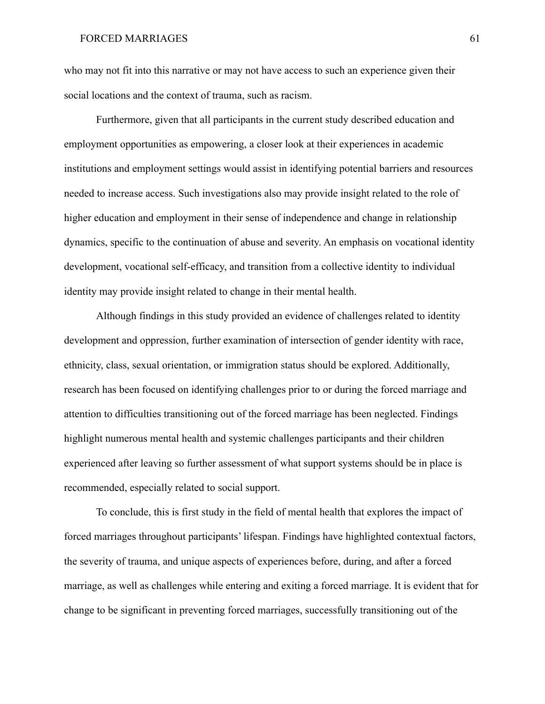who may not fit into this narrative or may not have access to such an experience given their social locations and the context of trauma, such as racism.

Furthermore, given that all participants in the current study described education and employment opportunities as empowering, a closer look at their experiences in academic institutions and employment settings would assist in identifying potential barriers and resources needed to increase access. Such investigations also may provide insight related to the role of higher education and employment in their sense of independence and change in relationship dynamics, specific to the continuation of abuse and severity. An emphasis on vocational identity development, vocational self-efficacy, and transition from a collective identity to individual identity may provide insight related to change in their mental health.

Although findings in this study provided an evidence of challenges related to identity development and oppression, further examination of intersection of gender identity with race, ethnicity, class, sexual orientation, or immigration status should be explored. Additionally, research has been focused on identifying challenges prior to or during the forced marriage and attention to difficulties transitioning out of the forced marriage has been neglected. Findings highlight numerous mental health and systemic challenges participants and their children experienced after leaving so further assessment of what support systems should be in place is recommended, especially related to social support.

To conclude, this is first study in the field of mental health that explores the impact of forced marriages throughout participants' lifespan. Findings have highlighted contextual factors, the severity of trauma, and unique aspects of experiences before, during, and after a forced marriage, as well as challenges while entering and exiting a forced marriage. It is evident that for change to be significant in preventing forced marriages, successfully transitioning out of the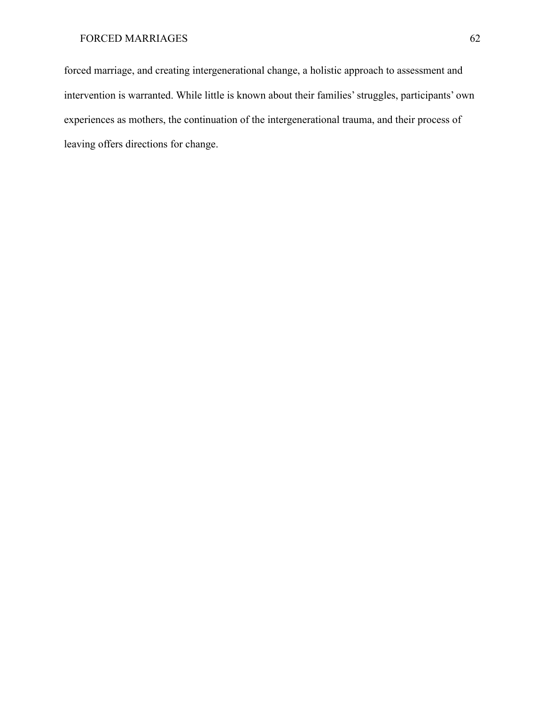forced marriage, and creating intergenerational change, a holistic approach to assessment and intervention is warranted. While little is known about their families' struggles, participants' own experiences as mothers, the continuation of the intergenerational trauma, and their process of leaving offers directions for change.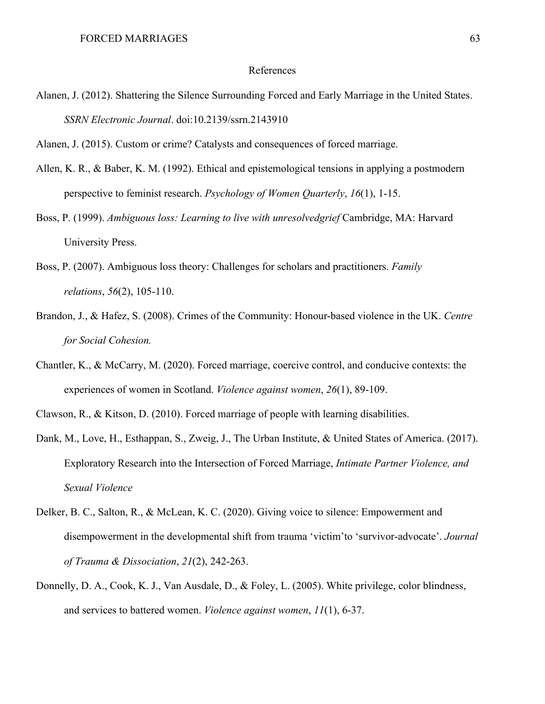#### References

Alanen, J. (2012). Shattering the Silence Surrounding Forced and Early Marriage in the United States. *SSRN Electronic Journal*. doi:10.2139/ssrn.2143910

Alanen, J. (2015). Custom or crime? Catalysts and consequences of forced marriage.

- Allen, K. R., & Baber, K. M. (1992). Ethical and epistemological tensions in applying a postmodern perspective to feminist research. *Psychology of Women Quarterly*, *16*(1), 1-15.
- Boss, P. (1999). *Ambiguous loss: Learning to live with unresolvedgrief* Cambridge, MA: Harvard University Press.
- Boss, P. (2007). Ambiguous loss theory: Challenges for scholars and practitioners. *Family relations*, *56*(2), 105-110.
- Brandon, J., & Hafez, S. (2008). Crimes of the Community: Honour-based violence in the UK. *Centre for Social Cohesion.*
- Chantler, K., & McCarry, M. (2020). Forced marriage, coercive control, and conducive contexts: the experiences of women in Scotland. *Violence against women*, *26*(1), 89-109.
- Clawson, R., & Kitson, D. (2010). Forced marriage of people with learning disabilities.
- Dank, M., Love, H., Esthappan, S., Zweig, J., The Urban Institute, & United States of America. (2017). Exploratory Research into the Intersection of Forced Marriage, *Intimate Partner Violence, and Sexual Violence*
- Delker, B. C., Salton, R., & McLean, K. C. (2020). Giving voice to silence: Empowerment and disempowerment in the developmental shift from trauma 'victim'to 'survivor-advocate'. *Journal of Trauma & Dissociation*, *21*(2), 242-263.
- Donnelly, D. A., Cook, K. J., Van Ausdale, D., & Foley, L. (2005). White privilege, color blindness, and services to battered women. *Violence against women*, *11*(1), 6-37.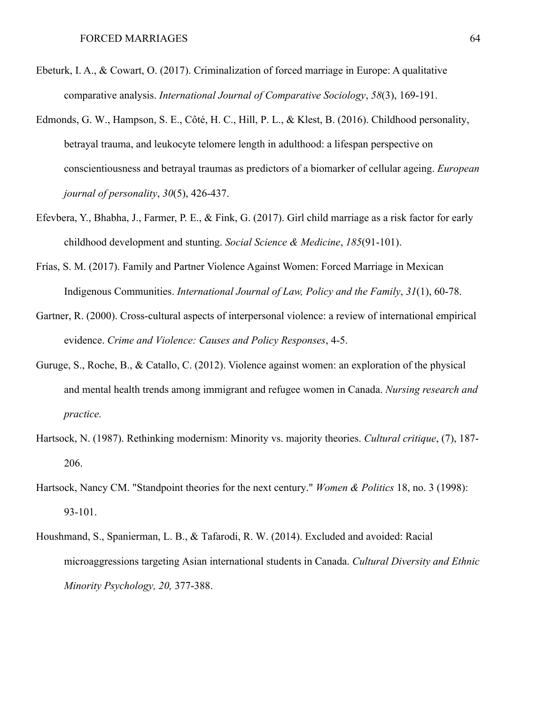- Ebeturk, I. A., & Cowart, O. (2017). Criminalization of forced marriage in Europe: A qualitative comparative analysis. *International Journal of Comparative Sociology*, *58*(3), 169-191.
- Edmonds, G. W., Hampson, S. E., Côté, H. C., Hill, P. L., & Klest, B. (2016). Childhood personality, betrayal trauma, and leukocyte telomere length in adulthood: a lifespan perspective on conscientiousness and betrayal traumas as predictors of a biomarker of cellular ageing. *European journal of personality*, *30*(5), 426-437.
- Efevbera, Y., Bhabha, J., Farmer, P. E., & Fink, G. (2017). Girl child marriage as a risk factor for early childhood development and stunting. *Social Science & Medicine*, *185*(91-101).
- Frías, S. M. (2017). Family and Partner Violence Against Women: Forced Marriage in Mexican Indigenous Communities. *International Journal of Law, Policy and the Family*, *31*(1), 60-78.
- Gartner, R. (2000). Cross-cultural aspects of interpersonal violence: a review of international empirical evidence. *Crime and Violence: Causes and Policy Responses*, 4-5.
- Guruge, S., Roche, B., & Catallo, C. (2012). Violence against women: an exploration of the physical and mental health trends among immigrant and refugee women in Canada. *Nursing research and practice.*
- Hartsock, N. (1987). Rethinking modernism: Minority vs. majority theories. *Cultural critique*, (7), 187- 206.
- Hartsock, Nancy CM. "Standpoint theories for the next century." *Women & Politics* 18, no. 3 (1998): 93-101.
- Houshmand, S., Spanierman, L. B., & Tafarodi, R. W. (2014). Excluded and avoided: Racial microaggressions targeting Asian international students in Canada. *Cultural Diversity and Ethnic Minority Psychology, 20,* 377-388.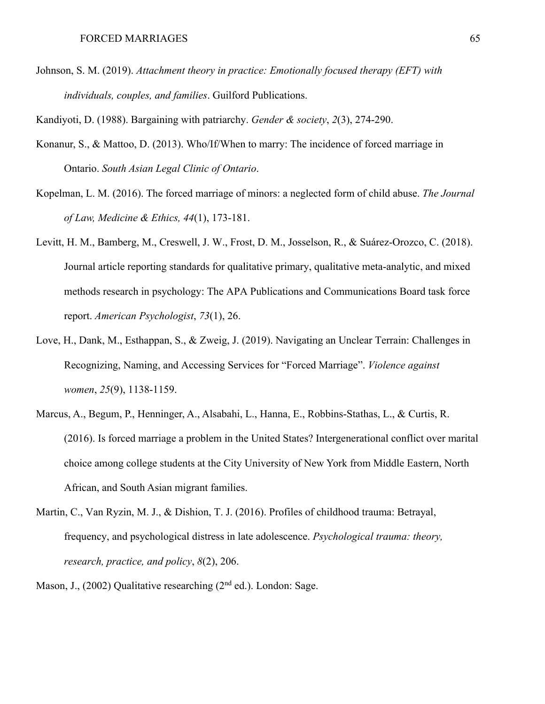Johnson, S. M. (2019). *Attachment theory in practice: Emotionally focused therapy (EFT) with individuals, couples, and families*. Guilford Publications.

Kandiyoti, D. (1988). Bargaining with patriarchy. *Gender & society*, *2*(3), 274-290.

- Konanur, S., & Mattoo, D. (2013). Who/If/When to marry: The incidence of forced marriage in Ontario. *South Asian Legal Clinic of Ontario*.
- Kopelman, L. M. (2016). The forced marriage of minors: a neglected form of child abuse. *The Journal of Law, Medicine & Ethics, 44*(1), 173-181.
- Levitt, H. M., Bamberg, M., Creswell, J. W., Frost, D. M., Josselson, R., & Suárez-Orozco, C. (2018). Journal article reporting standards for qualitative primary, qualitative meta-analytic, and mixed methods research in psychology: The APA Publications and Communications Board task force report. *American Psychologist*, *73*(1), 26.
- Love, H., Dank, M., Esthappan, S., & Zweig, J. (2019). Navigating an Unclear Terrain: Challenges in Recognizing, Naming, and Accessing Services for "Forced Marriage". *Violence against women*, *25*(9), 1138-1159.
- Marcus, A., Begum, P., Henninger, A., Alsabahi, L., Hanna, E., Robbins-Stathas, L., & Curtis, R. (2016). Is forced marriage a problem in the United States? Intergenerational conflict over marital choice among college students at the City University of New York from Middle Eastern, North African, and South Asian migrant families.
- Martin, C., Van Ryzin, M. J., & Dishion, T. J. (2016). Profiles of childhood trauma: Betrayal, frequency, and psychological distress in late adolescence. *Psychological trauma: theory, research, practice, and policy*, *8*(2), 206.
- Mason, J., (2002) Qualitative researching (2<sup>nd</sup> ed.). London: Sage.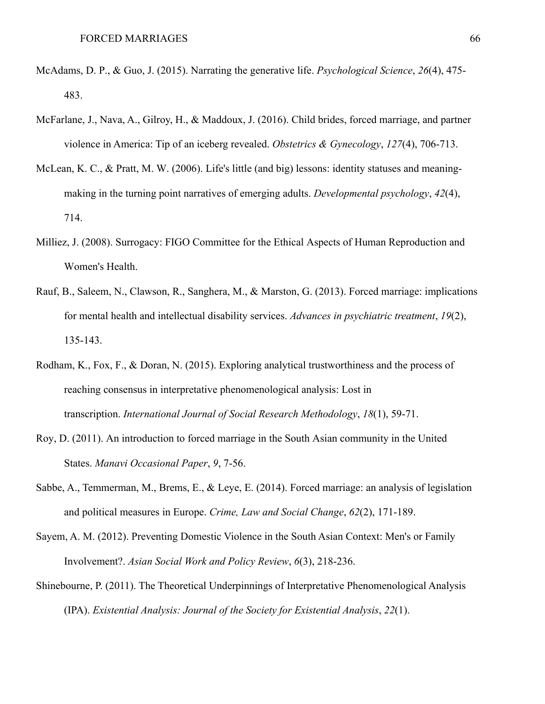- McAdams, D. P., & Guo, J. (2015). Narrating the generative life. *Psychological Science*, *26*(4), 475- 483.
- McFarlane, J., Nava, A., Gilroy, H., & Maddoux, J. (2016). Child brides, forced marriage, and partner violence in America: Tip of an iceberg revealed. *Obstetrics & Gynecology*, *127*(4), 706-713.
- McLean, K. C., & Pratt, M. W. (2006). Life's little (and big) lessons: identity statuses and meaningmaking in the turning point narratives of emerging adults. *Developmental psychology*, *42*(4), 714.
- Milliez, J. (2008). Surrogacy: FIGO Committee for the Ethical Aspects of Human Reproduction and Women's Health.
- Rauf, B., Saleem, N., Clawson, R., Sanghera, M., & Marston, G. (2013). Forced marriage: implications for mental health and intellectual disability services. *Advances in psychiatric treatment*, *19*(2), 135-143.
- Rodham, K., Fox, F., & Doran, N. (2015). Exploring analytical trustworthiness and the process of reaching consensus in interpretative phenomenological analysis: Lost in transcription. *International Journal of Social Research Methodology*, *18*(1), 59-71.
- Roy, D. (2011). An introduction to forced marriage in the South Asian community in the United States. *Manavi Occasional Paper*, *9*, 7-56.
- Sabbe, A., Temmerman, M., Brems, E., & Leye, E. (2014). Forced marriage: an analysis of legislation and political measures in Europe. *Crime, Law and Social Change*, *62*(2), 171-189.
- Sayem, A. M. (2012). Preventing Domestic Violence in the South Asian Context: Men's or Family Involvement?. *Asian Social Work and Policy Review*, *6*(3), 218-236.
- Shinebourne, P. (2011). The Theoretical Underpinnings of Interpretative Phenomenological Analysis (IPA). *Existential Analysis: Journal of the Society for Existential Analysis*, *22*(1).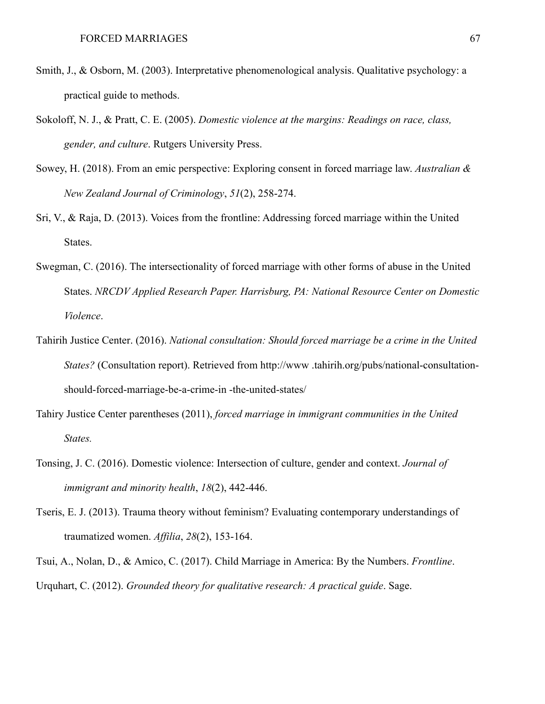- Smith, J., & Osborn, M. (2003). Interpretative phenomenological analysis. Qualitative psychology: a practical guide to methods.
- Sokoloff, N. J., & Pratt, C. E. (2005). *Domestic violence at the margins: Readings on race, class, gender, and culture*. Rutgers University Press.
- Sowey, H. (2018). From an emic perspective: Exploring consent in forced marriage law. *Australian & New Zealand Journal of Criminology*, *51*(2), 258-274.
- Sri, V., & Raja, D. (2013). Voices from the frontline: Addressing forced marriage within the United States.
- Swegman, C. (2016). The intersectionality of forced marriage with other forms of abuse in the United States. *NRCDV Applied Research Paper. Harrisburg, PA: National Resource Center on Domestic Violence*.
- Tahirih Justice Center. (2016). *National consultation: Should forced marriage be a crime in the United States?* (Consultation report). Retrieved from http://www .tahirih.org/pubs/national-consultationshould-forced-marriage-be-a-crime-in -the-united-states/
- Tahiry Justice Center parentheses (2011), *forced marriage in immigrant communities in the United States.*
- Tonsing, J. C. (2016). Domestic violence: Intersection of culture, gender and context. *Journal of immigrant and minority health*, *18*(2), 442-446.
- Tseris, E. J. (2013). Trauma theory without feminism? Evaluating contemporary understandings of traumatized women. *Affilia*, *28*(2), 153-164.

Tsui, A., Nolan, D., & Amico, C. (2017). Child Marriage in America: By the Numbers. *Frontline*. Urquhart, C. (2012). *Grounded theory for qualitative research: A practical guide*. Sage.